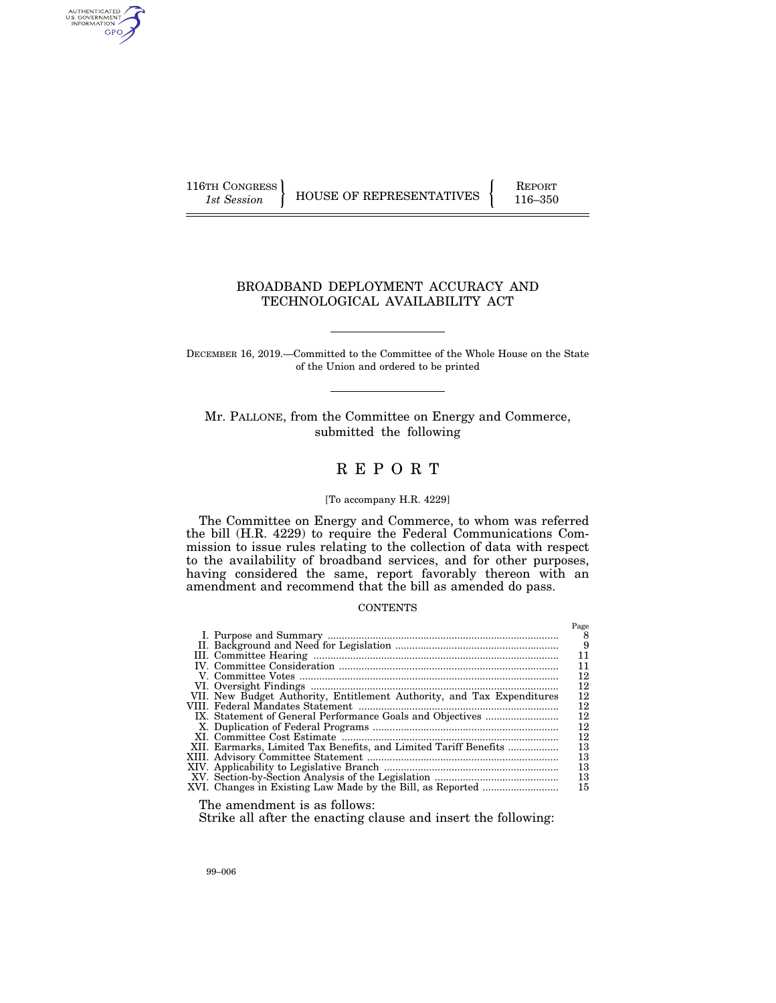AUTHENTICATED<br>U.S. GOVERNMENT<br>INFORMATION GPO

116TH CONGRESS HOUSE OF REPRESENTATIVES FEPORT 116–350

## BROADBAND DEPLOYMENT ACCURACY AND TECHNOLOGICAL AVAILABILITY ACT

DECEMBER 16, 2019.—Committed to the Committee of the Whole House on the State of the Union and ordered to be printed

Mr. PALLONE, from the Committee on Energy and Commerce, submitted the following

# R E P O R T

### [To accompany H.R. 4229]

The Committee on Energy and Commerce, to whom was referred the bill (H.R. 4229) to require the Federal Communications Commission to issue rules relating to the collection of data with respect to the availability of broadband services, and for other purposes, having considered the same, report favorably thereon with an amendment and recommend that the bill as amended do pass.

### **CONTENTS**

|                                                                        | Page |
|------------------------------------------------------------------------|------|
|                                                                        | 8    |
|                                                                        | - 9  |
|                                                                        | 11   |
|                                                                        | 11   |
|                                                                        | 12   |
|                                                                        | 12   |
| VII. New Budget Authority, Entitlement Authority, and Tax Expenditures | 12   |
|                                                                        | 12   |
|                                                                        | 12   |
|                                                                        | 12   |
|                                                                        | 12   |
| XII. Earmarks, Limited Tax Benefits, and Limited Tariff Benefits       | 13   |
|                                                                        | 13   |
|                                                                        | 13   |
|                                                                        | 13   |
|                                                                        | 15   |
|                                                                        |      |

The amendment is as follows:

Strike all after the enacting clause and insert the following: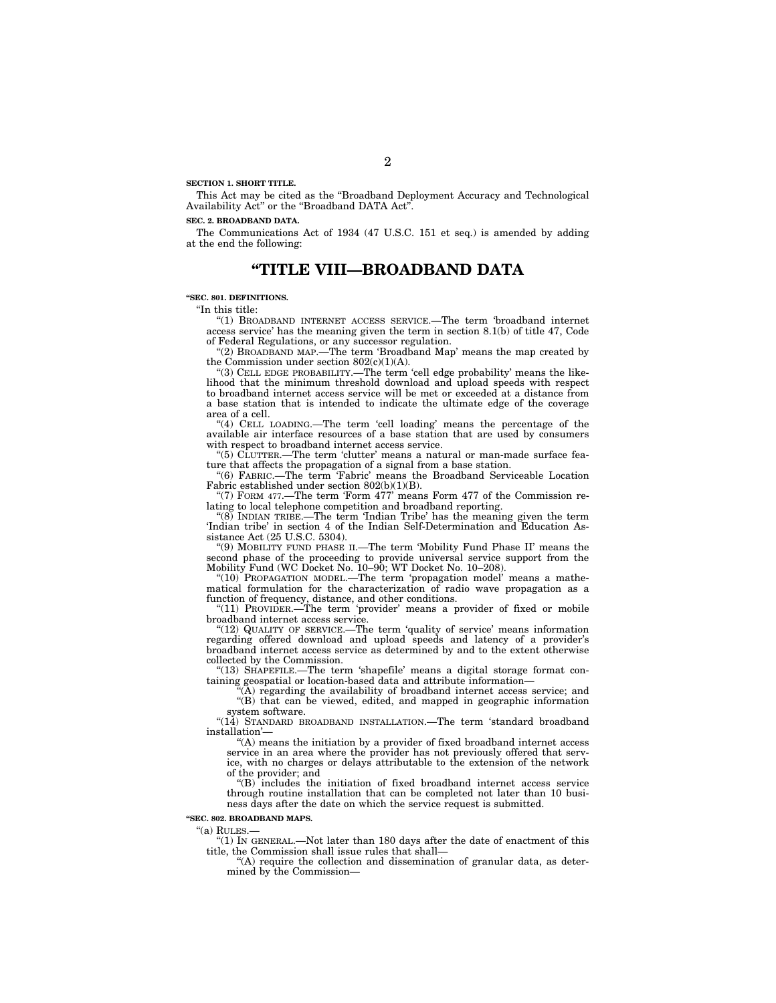**SECTION 1. SHORT TITLE.** 

This Act may be cited as the ''Broadband Deployment Accuracy and Technological Availability Act" or the "Broadband DATA Act".

#### **SEC. 2. BROADBAND DATA.**

The Communications Act of 1934 (47 U.S.C. 151 et seq.) is amended by adding at the end the following:

# **''TITLE VIII—BROADBAND DATA**

#### **''SEC. 801. DEFINITIONS.**

''In this title:

''(1) BROADBAND INTERNET ACCESS SERVICE.—The term 'broadband internet access service' has the meaning given the term in section 8.1(b) of title 47, Code of Federal Regulations, or any successor regulation.

"(2) BROADBAND MAP.—The term 'Broadband Map' means the map created by the Commission under section  $802(c)(1)(A)$ .

"(3) CELL EDGE PROBABILITY.—The term 'cell edge probability' means the likelihood that the minimum threshold download and upload speeds with respect to broadband internet access service will be met or exceeded at a distance from a base station that is intended to indicate the ultimate edge of the coverage area of a cell.

"(4) CELL LOADING.—The term 'cell loading' means the percentage of the available air interface resources of a base station that are used by consumers with respect to broadband internet access service.

''(5) CLUTTER.—The term 'clutter' means a natural or man-made surface feature that affects the propagation of a signal from a base station.

''(6) FABRIC.—The term 'Fabric' means the Broadband Serviceable Location Fabric established under section 802(b)(1)(B).

''(7) FORM 477.—The term 'Form 477' means Form 477 of the Commission relating to local telephone competition and broadband reporting.

''(8) INDIAN TRIBE.—The term 'Indian Tribe' has the meaning given the term 'Indian tribe' in section 4 of the Indian Self-Determination and Education Assistance Act (25 U.S.C. 5304).

''(9) MOBILITY FUND PHASE II.—The term 'Mobility Fund Phase II' means the second phase of the proceeding to provide universal service support from the Mobility Fund (WC Docket No. 10–90; WT Docket No. 10–208).

"(10) PROPAGATION MODEL.—The term 'propagation model' means a mathematical formulation for the characterization of radio wave propagation as a function of frequency, distance, and other conditions.

''(11) PROVIDER.—The term 'provider' means a provider of fixed or mobile broadband internet access service.

"(12) QUALITY OF SERVICE.—The term 'quality of service' means information regarding offered download and upload speeds and latency of a provider's broadband internet access service as determined by and to the extent otherwise collected by the Commission.

''(13) SHAPEFILE.—The term 'shapefile' means a digital storage format containing geospatial or location-based data and attribute information—

 $(A)$  regarding the availability of broadband internet access service; and "(B) that can be viewed, edited, and mapped in geographic information system software.

''(14) STANDARD BROADBAND INSTALLATION.—The term 'standard broadband installation'—

''(A) means the initiation by a provider of fixed broadband internet access service in an area where the provider has not previously offered that service, with no charges or delays attributable to the extension of the network of the provider; and

''(B) includes the initiation of fixed broadband internet access service through routine installation that can be completed not later than 10 business days after the date on which the service request is submitted.

**''SEC. 802. BROADBAND MAPS.** 

''(a) RULES.—

''(1) IN GENERAL.—Not later than 180 days after the date of enactment of this title, the Commission shall issue rules that shall—

''(A) require the collection and dissemination of granular data, as determined by the Commission—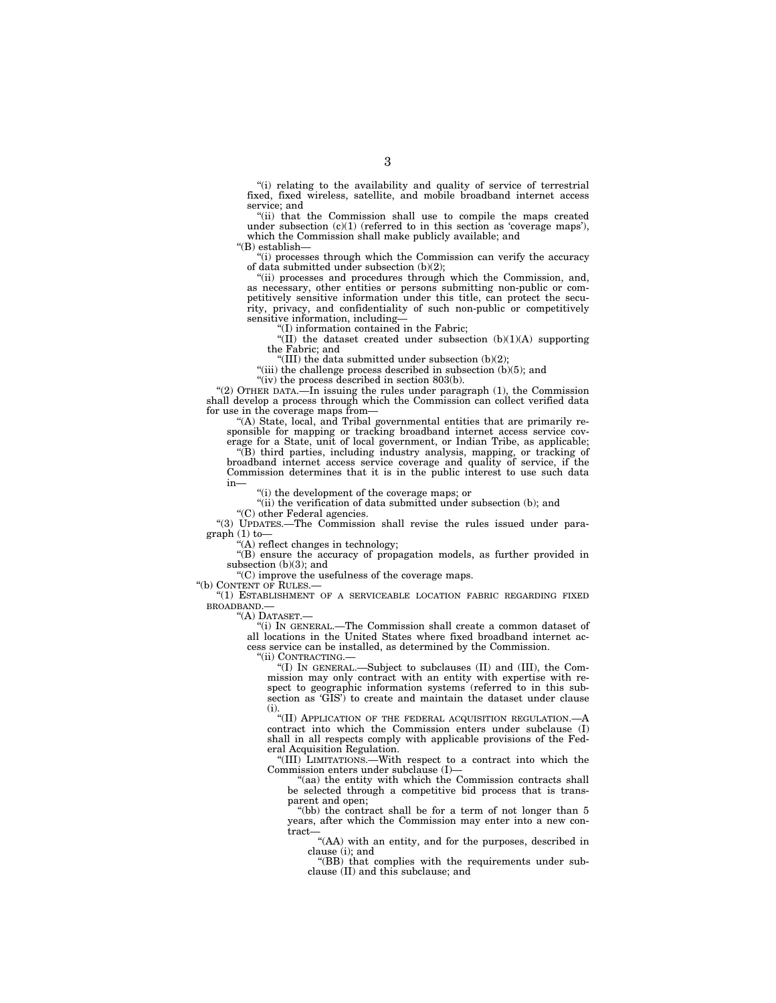"(i) relating to the availability and quality of service of terrestrial fixed, fixed wireless, satellite, and mobile broadband internet access service; and

"(ii) that the Commission shall use to compile the maps created under subsection  $(c)(1)$  (referred to in this section as 'coverage maps'), which the Commission shall make publicly available; and

''(B) establish—

''(i) processes through which the Commission can verify the accuracy of data submitted under subsection (b)(2);

"(ii) processes and procedures through which the Commission, and, as necessary, other entities or persons submitting non-public or competitively sensitive information under this title, can protect the security, privacy, and confidentiality of such non-public or competitively sensitive information, including—

''(I) information contained in the Fabric;

"(II) the dataset created under subsection  $(b)(1)(A)$  supporting the Fabric; and

"(III) the data submitted under subsection  $(b)(2)$ ;

"(iii) the challenge process described in subsection (b)(5); and

"(iv) the process described in section  $803(b)$ .

"(2) OTHER DATA.—In issuing the rules under paragraph (1), the Commission shall develop a process through which the Commission can collect verified data for use in the coverage maps from—

''(A) State, local, and Tribal governmental entities that are primarily responsible for mapping or tracking broadband internet access service cov-

erage for a State, unit of local government, or Indian Tribe, as applicable; ''(B) third parties, including industry analysis, mapping, or tracking of broadband internet access service coverage and quality of service, if the Commission determines that it is in the public interest to use such data in—

(i) the development of the coverage maps; or

"(ii) the verification of data submitted under subsection (b); and

''(C) other Federal agencies.

''(3) UPDATES.—The Commission shall revise the rules issued under paragraph (1) to—

''(A) reflect changes in technology;

''(B) ensure the accuracy of propagation models, as further provided in subsection (b)(3); and

''(C) improve the usefulness of the coverage maps.

''(b) CONTENT OF RULES.—

''(1) ESTABLISHMENT OF A SERVICEABLE LOCATION FABRIC REGARDING FIXED BROADBAND.—

''(A) DATASET.—

''(i) IN GENERAL.—The Commission shall create a common dataset of all locations in the United States where fixed broadband internet access service can be installed, as determined by the Commission.

''(ii) CONTRACTING.—

''(I) IN GENERAL.—Subject to subclauses (II) and (III), the Commission may only contract with an entity with expertise with respect to geographic information systems (referred to in this subsection as 'GIS') to create and maintain the dataset under clause (i).

"(II) APPLICATION OF THE FEDERAL ACQUISITION REGULATION.—A contract into which the Commission enters under subclause (I) shall in all respects comply with applicable provisions of the Federal Acquisition Regulation.

''(III) LIMITATIONS.—With respect to a contract into which the Commission enters under subclause (I)—

"(aa) the entity with which the Commission contracts shall be selected through a competitive bid process that is transparent and open;

''(bb) the contract shall be for a term of not longer than 5 years, after which the Commission may enter into a new contract—

''(AA) with an entity, and for the purposes, described in clause (i); and

"(BB) that complies with the requirements under subclause (II) and this subclause; and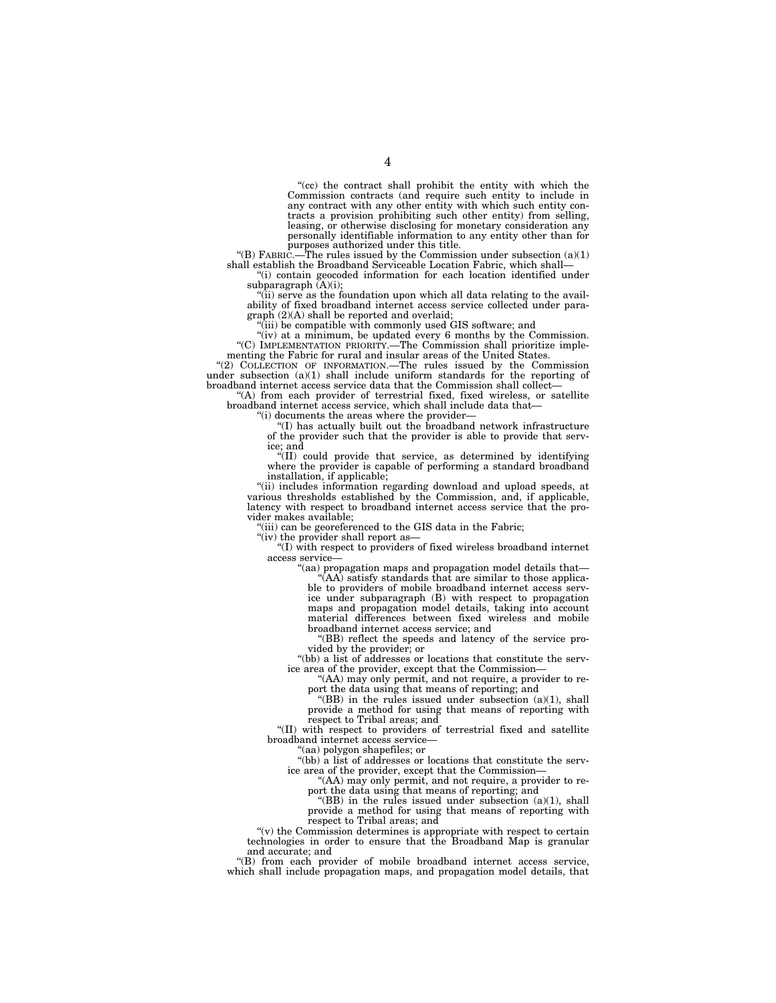''(cc) the contract shall prohibit the entity with which the Commission contracts (and require such entity to include in any contract with any other entity with which such entity contracts a provision prohibiting such other entity) from selling, leasing, or otherwise disclosing for monetary consideration any personally identifiable information to any entity other than for

purposes authorized under this title.<br>"(B) FABRIC.—The rules issued by the Commission under subsection (a)(1) shall establish the Broadband Serviceable Location Fabric, which shall—

''(i) contain geocoded information for each location identified under subparagraph  $(A)(i)$ :

''(ii) serve as the foundation upon which all data relating to the avail-ability of fixed broadband internet access service collected under paragraph (2)(A) shall be reported and overlaid; ''(iii) be compatible with commonly used GIS software; and

''(iv) at a minimum, be updated every 6 months by the Commission. ''(C) IMPLEMENTATION PRIORITY.—The Commission shall prioritize imple-

menting the Fabric for rural and insular areas of the United States.<br>"(2) COLLECTION OF INFORMATION.—The rules issued by the Commission under subsection  $(a)(1)$  shall include uniform standards for the reporting of broadband internet access service data that the Commission shall collect—

''(A) from each provider of terrestrial fixed, fixed wireless, or satellite broadband internet access service, which shall include data that—

''(i) documents the areas where the provider—

''(I) has actually built out the broadband network infrastructure of the provider such that the provider is able to provide that service; and

''(II) could provide that service, as determined by identifying where the provider is capable of performing a standard broadband installation, if applicable;

''(ii) includes information regarding download and upload speeds, at various thresholds established by the Commission, and, if applicable, latency with respect to broadband internet access service that the provider makes available;

"(iii) can be georeferenced to the GIS data in the Fabric;

"(iv) the provider shall report as-

''(I) with respect to providers of fixed wireless broadband internet access service—

''(aa) propagation maps and propagation model details that— ''(AA) satisfy standards that are similar to those applicable to providers of mobile broadband internet access service under subparagraph (B) with respect to propagation maps and propagation model details, taking into account material differences between fixed wireless and mobile broadband internet access service; and

''(BB) reflect the speeds and latency of the service provided by the provider; or

''(bb) a list of addresses or locations that constitute the service area of the provider, except that the Commission—

''(AA) may only permit, and not require, a provider to re-

port the data using that means of reporting; and "(BB) in the rules issued under subsection (a)(1), shall

provide a method for using that means of reporting with respect to Tribal areas; and

"(II) with respect to providers of terrestrial fixed and satellite broadband internet access service—

'(aa) polygon shapefiles; or

''(bb) a list of addresses or locations that constitute the service area of the provider, except that the Commission—

"(AA) may only permit, and not require, a provider to report the data using that means of reporting; and

" $(BB)$  in the rules issued under subsection  $(a)(1)$ , shall provide a method for using that means of reporting with respect to Tribal areas; and

" $(v)$  the Commission determines is appropriate with respect to certain technologies in order to ensure that the Broadband Map is granular and accurate; and

''(B) from each provider of mobile broadband internet access service, which shall include propagation maps, and propagation model details, that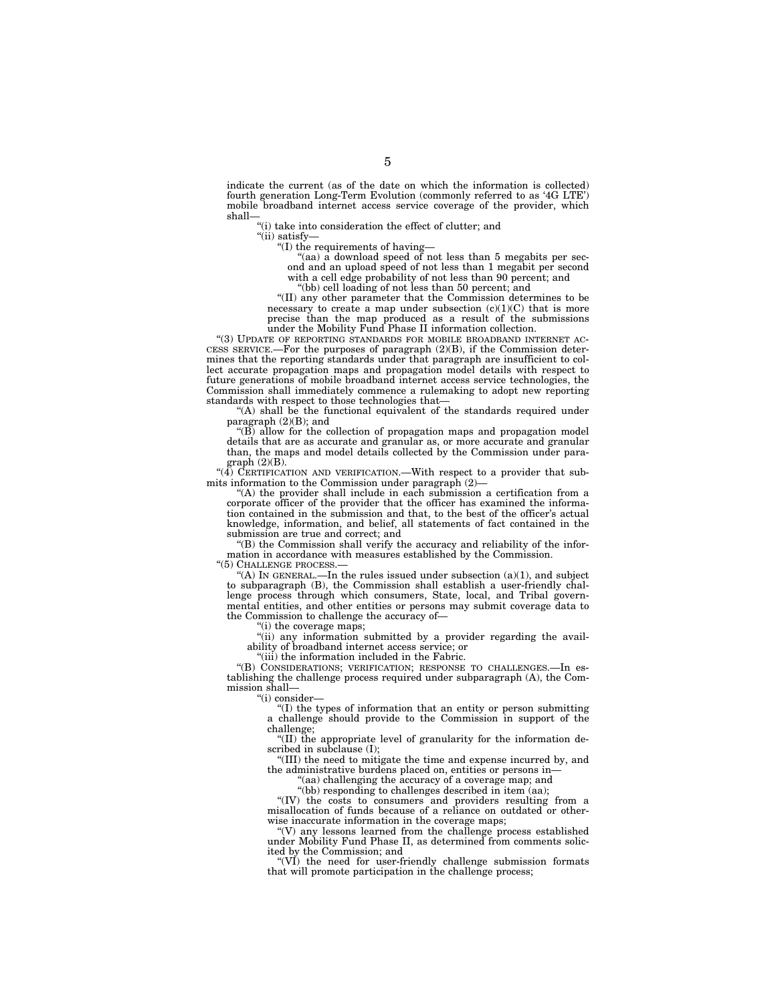indicate the current (as of the date on which the information is collected) fourth generation Long-Term Evolution (commonly referred to as '4G LTE') mobile broadband internet access service coverage of the provider, which shall—

''(i) take into consideration the effect of clutter; and

''(ii) satisfy—

''(I) the requirements of having—

"(aa) a download speed of not less than 5 megabits per second and an upload speed of not less than 1 megabit per second with a cell edge probability of not less than 90 percent; and

''(bb) cell loading of not less than 50 percent; and

''(II) any other parameter that the Commission determines to be necessary to create a map under subsection  $(c)(1)(C)$  that is more precise than the map produced as a result of the submissions under the Mobility Fund Phase II information collection.

''(3) UPDATE OF REPORTING STANDARDS FOR MOBILE BROADBAND INTERNET AC-CESS SERVICE.—For the purposes of paragraph (2)(B), if the Commission determines that the reporting standards under that paragraph are insufficient to collect accurate propagation maps and propagation model details with respect to future generations of mobile broadband internet access service technologies, the Commission shall immediately commence a rulemaking to adopt new reporting standards with respect to those technologies that—

"(A) shall be the functional equivalent of the standards required under paragraph (2)(B); and

''(B) allow for the collection of propagation maps and propagation model details that are as accurate and granular as, or more accurate and granular than, the maps and model details collected by the Commission under para $graph (2)(B)$ .

 $(4)$  CERTIFICATION AND VERIFICATION.—With respect to a provider that submits information to the Commission under paragraph (2)—

''(A) the provider shall include in each submission a certification from a corporate officer of the provider that the officer has examined the information contained in the submission and that, to the best of the officer's actual knowledge, information, and belief, all statements of fact contained in the submission are true and correct; and

''(B) the Commission shall verify the accuracy and reliability of the information in accordance with measures established by the Commission.

''(5) CHALLENGE PROCESS.—

"(A) IN GENERAL.—In the rules issued under subsection  $(a)(1)$ , and subject to subparagraph (B), the Commission shall establish a user-friendly challenge process through which consumers, State, local, and Tribal governmental entities, and other entities or persons may submit coverage data to the Commission to challenge the accuracy of—

''(i) the coverage maps;

"(ii) any information submitted by a provider regarding the availability of broadband internet access service; or

 $^{\prime}$ (iii) the information included in the Fabric.

''(B) CONSIDERATIONS; VERIFICATION; RESPONSE TO CHALLENGES.—In establishing the challenge process required under subparagraph (A), the Commission shall—

''(i) consider—

''(I) the types of information that an entity or person submitting a challenge should provide to the Commission in support of the challenge;

"(II) the appropriate level of granularity for the information described in subclause (I);

''(III) the need to mitigate the time and expense incurred by, and the administrative burdens placed on, entities or persons in—

"(aa) challenging the accuracy of a coverage map; and

"(bb) responding to challenges described in item (aa);

"(IV) the costs to consumers and providers resulting from a misallocation of funds because of a reliance on outdated or otherwise inaccurate information in the coverage maps;

''(V) any lessons learned from the challenge process established under Mobility Fund Phase II, as determined from comments solicited by the Commission; and

"(VI) the need for user-friendly challenge submission formats that will promote participation in the challenge process;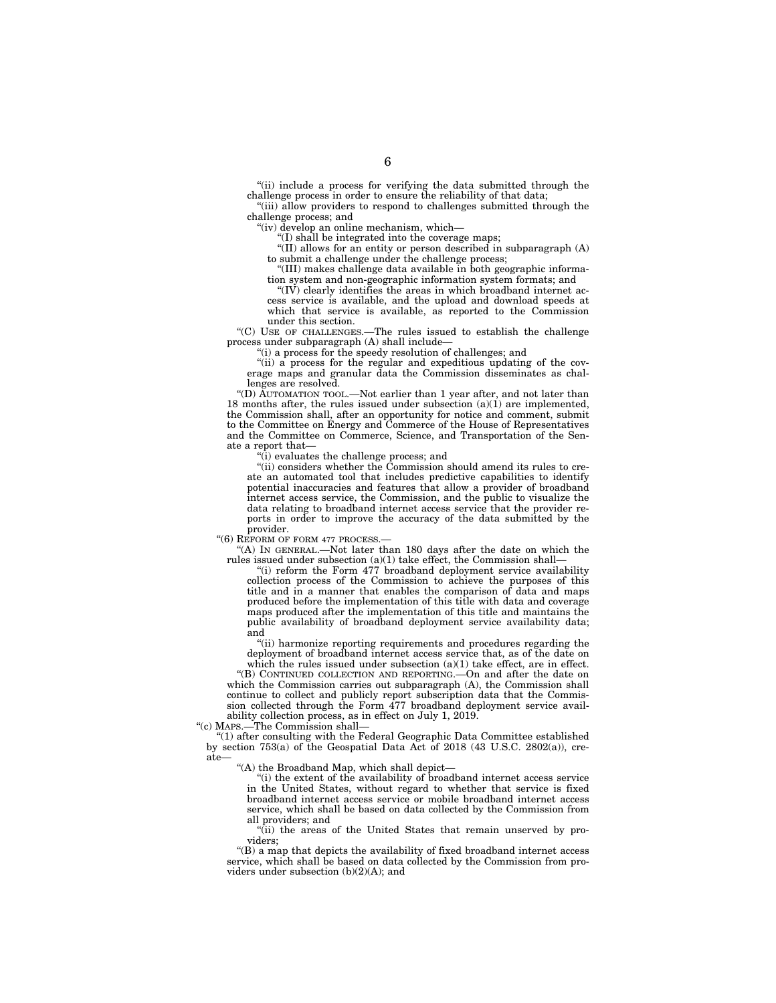"(ii) include a process for verifying the data submitted through the challenge process in order to ensure the reliability of that data;

''(iii) allow providers to respond to challenges submitted through the challenge process; and

''(iv) develop an online mechanism, which—

" $($ I) shall be integrated into the coverage maps;

"(II) allows for an entity or person described in subparagraph  $(A)$ to submit a challenge under the challenge process;

''(III) makes challenge data available in both geographic information system and non-geographic information system formats; and

" $(IV)$  clearly identifies the areas in which broadband internet access service is available, and the upload and download speeds at which that service is available, as reported to the Commission under this section.

''(C) USE OF CHALLENGES.—The rules issued to establish the challenge process under subparagraph (A) shall include—

''(i) a process for the speedy resolution of challenges; and

''(ii) a process for the regular and expeditious updating of the coverage maps and granular data the Commission disseminates as challenges are resolved.

''(D) AUTOMATION TOOL.—Not earlier than 1 year after, and not later than 18 months after, the rules issued under subsection  $(a)(1)$  are implemented, the Commission shall, after an opportunity for notice and comment, submit to the Committee on Energy and Commerce of the House of Representatives and the Committee on Commerce, Science, and Transportation of the Senate a report that—

''(i) evaluates the challenge process; and

"(ii) considers whether the Commission should amend its rules to create an automated tool that includes predictive capabilities to identify potential inaccuracies and features that allow a provider of broadband internet access service, the Commission, and the public to visualize the data relating to broadband internet access service that the provider reports in order to improve the accuracy of the data submitted by the provider.

''(6) REFORM OF FORM 477 PROCESS.—

''(A) IN GENERAL.—Not later than 180 days after the date on which the rules issued under subsection (a)(1) take effect, the Commission shall—

''(i) reform the Form 477 broadband deployment service availability collection process of the Commission to achieve the purposes of this title and in a manner that enables the comparison of data and maps produced before the implementation of this title with data and coverage maps produced after the implementation of this title and maintains the public availability of broadband deployment service availability data; and

''(ii) harmonize reporting requirements and procedures regarding the deployment of broadband internet access service that, as of the date on which the rules issued under subsection  $(a)(1)$  take effect, are in effect.

''(B) CONTINUED COLLECTION AND REPORTING.—On and after the date on which the Commission carries out subparagraph (A), the Commission shall continue to collect and publicly report subscription data that the Commission collected through the Form 477 broadband deployment service availability collection process, as in effect on July 1, 2019.

''(c) MAPS.—The Commission shall—

''(1) after consulting with the Federal Geographic Data Committee established by section 753(a) of the Geospatial Data Act of 2018 (43 U.S.C. 2802(a)), create—

''(A) the Broadband Map, which shall depict—

''(i) the extent of the availability of broadband internet access service in the United States, without regard to whether that service is fixed broadband internet access service or mobile broadband internet access service, which shall be based on data collected by the Commission from all providers; and

"(ii) the areas of the United States that remain unserved by providers;

''(B) a map that depicts the availability of fixed broadband internet access service, which shall be based on data collected by the Commission from providers under subsection (b)(2)(A); and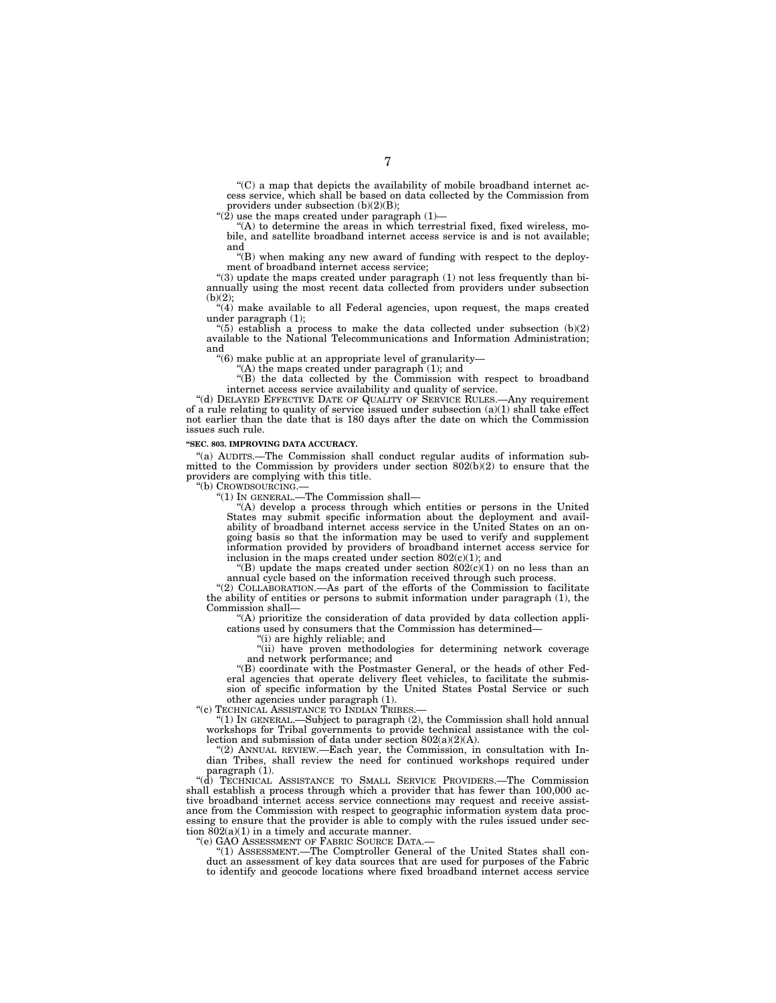''(C) a map that depicts the availability of mobile broadband internet access service, which shall be based on data collected by the Commission from providers under subsection (b)(2)(B);

" $(2)$  use the maps created under paragraph  $(1)$ -

"(A) to determine the areas in which terrestrial fixed, fixed wireless, mobile, and satellite broadband internet access service is and is not available; and

''(B) when making any new award of funding with respect to the deployment of broadband internet access service;

" $(3)$  update the maps created under paragraph  $(1)$  not less frequently than biannually using the most recent data collected from providers under subsection  $(b)(2)$ ;

 $\cdot\cdot\cdot(4)$  make available to all Federal agencies, upon request, the maps created under paragraph (1);

"(5) establish a process to make the data collected under subsection  $(b)(2)$ available to the National Telecommunications and Information Administration; and

''(6) make public at an appropriate level of granularity—

''(A) the maps created under paragraph (1); and

''(B) the data collected by the Commission with respect to broadband internet access service availability and quality of service.

"(d) DELAYED EFFECTIVE DATE OF QUALITY OF SERVICE RULES.—Any requirement of a rule relating to quality of service issued under subsection (a)(1) shall take effect not earlier than the date that is 180 days after the date on which the Commission issues such rule.

### **''SEC. 803. IMPROVING DATA ACCURACY.**

''(a) AUDITS.—The Commission shall conduct regular audits of information submitted to the Commission by providers under section 802(b)(2) to ensure that the providers are complying with this title.

''(b) CROWDSOURCING.—

''(1) IN GENERAL.—The Commission shall—

''(A) develop a process through which entities or persons in the United States may submit specific information about the deployment and availability of broadband internet access service in the United States on an ongoing basis so that the information may be used to verify and supplement information provided by providers of broadband internet access service for inclusion in the maps created under section  $802(c)(1)$ ; and

"(B) update the maps created under section  $802(c)(1)$  on no less than an annual cycle based on the information received through such process.

"(2) COLLABORATION.—As part of the efforts of the Commission to facilitate the ability of entities or persons to submit information under paragraph (1), the Commission shall—

''(A) prioritize the consideration of data provided by data collection applications used by consumers that the Commission has determined—

''(i) are highly reliable; and

''(ii) have proven methodologies for determining network coverage and network performance; and

''(B) coordinate with the Postmaster General, or the heads of other Federal agencies that operate delivery fleet vehicles, to facilitate the submission of specific information by the United States Postal Service or such other agencies under paragraph (1).

"(c) TECHNICAL ASSISTANCE TO INDIAN TRIBES.

''(1) IN GENERAL.—Subject to paragraph (2), the Commission shall hold annual workshops for Tribal governments to provide technical assistance with the collection and submission of data under section 802(a)(2)(A).

''(2) ANNUAL REVIEW.—Each year, the Commission, in consultation with Indian Tribes, shall review the need for continued workshops required under paragraph (1).

''(d) TECHNICAL ASSISTANCE TO SMALL SERVICE PROVIDERS.—The Commission shall establish a process through which a provider that has fewer than 100,000 active broadband internet access service connections may request and receive assistance from the Commission with respect to geographic information system data processing to ensure that the provider is able to comply with the rules issued under section  $802(a)(1)$  in a timely and accurate manner.

"(e) GAO ASSESSMENT OF FABRIC SOURCE DATA.-

''(1) ASSESSMENT.—The Comptroller General of the United States shall conduct an assessment of key data sources that are used for purposes of the Fabric to identify and geocode locations where fixed broadband internet access service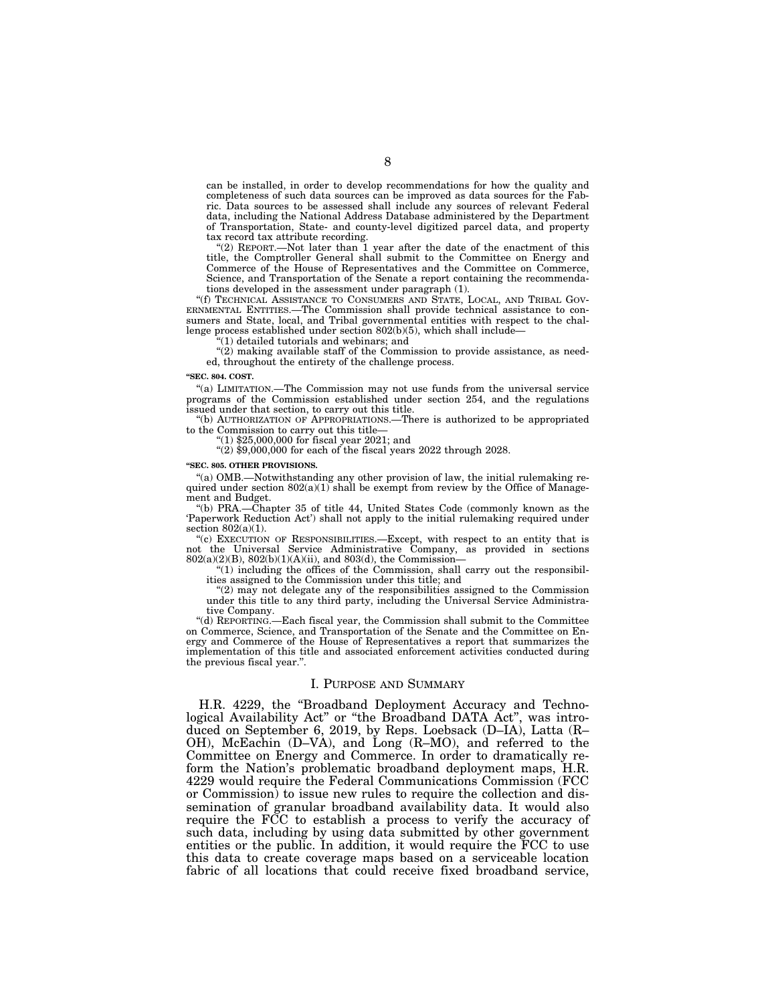can be installed, in order to develop recommendations for how the quality and completeness of such data sources can be improved as data sources for the Fabric. Data sources to be assessed shall include any sources of relevant Federal data, including the National Address Database administered by the Department of Transportation, State- and county-level digitized parcel data, and property tax record tax attribute recording.

"(2) REPORT.—Not later than  $\overline{1}$  year after the date of the enactment of this title, the Comptroller General shall submit to the Committee on Energy and Commerce of the House of Representatives and the Committee on Commerce, Science, and Transportation of the Senate a report containing the recommendations developed in the assessment under paragraph (1).

''(f) TECHNICAL ASSISTANCE TO CONSUMERS AND STATE, LOCAL, AND TRIBAL GOV-ERNMENTAL ENTITIES.—The Commission shall provide technical assistance to consumers and State, local, and Tribal governmental entities with respect to the challenge process established under section 802(b)(5), which shall include-

 $(1)$  detailed tutorials and webinars; and

 $''(2)$  making available staff of the Commission to provide assistance, as needed, throughout the entirety of the challenge process.

**''SEC. 804. COST.** 

''(a) LIMITATION.—The Commission may not use funds from the universal service programs of the Commission established under section 254, and the regulations issued under that section, to carry out this title.

''(b) AUTHORIZATION OF APPROPRIATIONS.—There is authorized to be appropriated to the Commission to carry out this title—

''(1) \$25,000,000 for fiscal year 2021; and

"(2)  $$9,000,000$  for each of the fiscal years 2022 through 2028.

**''SEC. 805. OTHER PROVISIONS.** 

''(a) OMB.—Notwithstanding any other provision of law, the initial rulemaking required under section  $802(a)(1)$  shall be exempt from review by the Office of Management and Budget.

''(b) PRA.—Chapter 35 of title 44, United States Code (commonly known as the 'Paperwork Reduction Act') shall not apply to the initial rulemaking required under section  $802(a)(1)$ .

''(c) EXECUTION OF RESPONSIBILITIES.—Except, with respect to an entity that is not the Universal Service Administrative Company, as provided in sections  $802(a)(2)(B)$ ,  $802(b)(1)(A)(ii)$ , and  $803(d)$ , the Commission

''(1) including the offices of the Commission, shall carry out the responsibilities assigned to the Commission under this title; and

''(2) may not delegate any of the responsibilities assigned to the Commission under this title to any third party, including the Universal Service Administrative Company.

''(d) REPORTING.—Each fiscal year, the Commission shall submit to the Committee on Commerce, Science, and Transportation of the Senate and the Committee on Energy and Commerce of the House of Representatives a report that summarizes the implementation of this title and associated enforcement activities conducted during the previous fiscal year.''.

#### I. PURPOSE AND SUMMARY

H.R. 4229, the ''Broadband Deployment Accuracy and Technological Availability Act'' or ''the Broadband DATA Act'', was introduced on September 6, 2019, by Reps. Loebsack (D–IA), Latta (R– OH), McEachin (D–VA), and Long (R–MO), and referred to the Committee on Energy and Commerce. In order to dramatically reform the Nation's problematic broadband deployment maps, H.R. 4229 would require the Federal Communications Commission (FCC or Commission) to issue new rules to require the collection and dissemination of granular broadband availability data. It would also require the FCC to establish a process to verify the accuracy of such data, including by using data submitted by other government entities or the public. In addition, it would require the FCC to use this data to create coverage maps based on a serviceable location fabric of all locations that could receive fixed broadband service,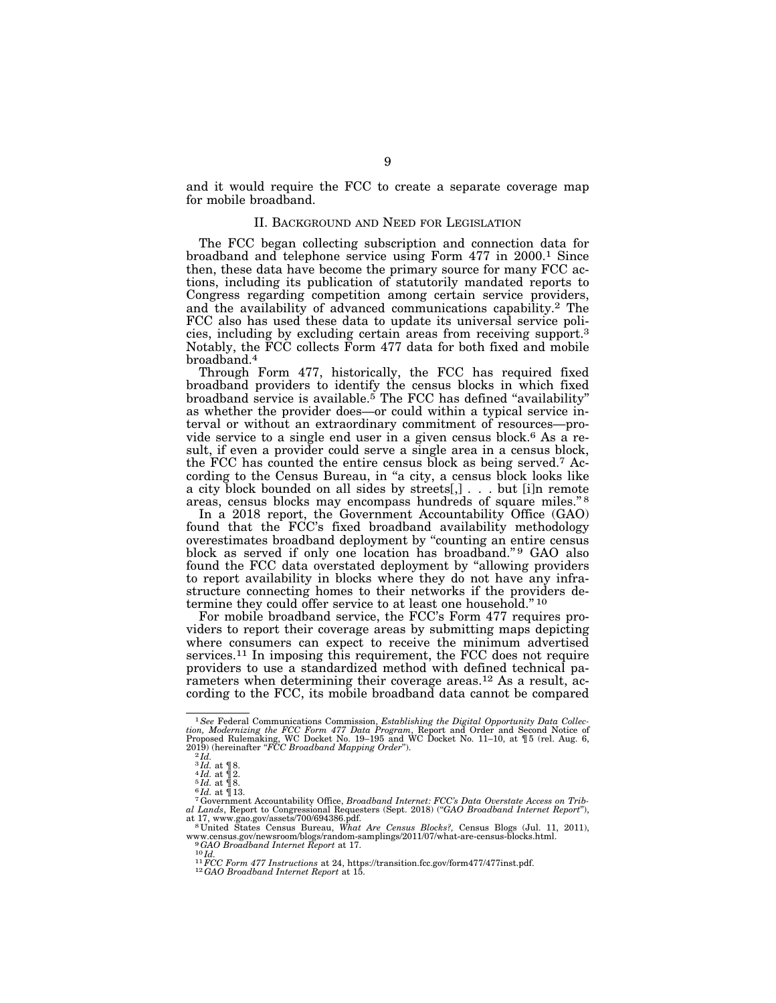and it would require the FCC to create a separate coverage map for mobile broadband.

### II. BACKGROUND AND NEED FOR LEGISLATION

The FCC began collecting subscription and connection data for broadband and telephone service using Form 477 in 2000.1 Since then, these data have become the primary source for many FCC actions, including its publication of statutorily mandated reports to Congress regarding competition among certain service providers, and the availability of advanced communications capability.2 The FCC also has used these data to update its universal service policies, including by excluding certain areas from receiving support.3 Notably, the FCC collects Form 477 data for both fixed and mobile broadband.4

Through Form 477, historically, the FCC has required fixed broadband providers to identify the census blocks in which fixed broadband service is available.<sup>5</sup> The FCC has defined "availability" as whether the provider does—or could within a typical service interval or without an extraordinary commitment of resources—provide service to a single end user in a given census block.<sup>6</sup> As a result, if even a provider could serve a single area in a census block, the FCC has counted the entire census block as being served.7 According to the Census Bureau, in "a city, a census block looks like a city block bounded on all sides by streets[,] . . . but [i]n remote areas, census blocks may encompass hundreds of square miles."<sup>8</sup>

In a 2018 report, the Government Accountability Office (GAO) found that the FCC's fixed broadband availability methodology overestimates broadband deployment by ''counting an entire census block as served if only one location has broadband."<sup>9</sup> GAO also found the FCC data overstated deployment by ''allowing providers to report availability in blocks where they do not have any infrastructure connecting homes to their networks if the providers determine they could offer service to at least one household.'' 10

For mobile broadband service, the FCC's Form 477 requires providers to report their coverage areas by submitting maps depicting where consumers can expect to receive the minimum advertised services.11 In imposing this requirement, the FCC does not require providers to use a standardized method with defined technical parameters when determining their coverage areas.12 As a result, according to the FCC, its mobile broadband data cannot be compared

<sup>&</sup>lt;sup>1</sup> See Federal Communications Commission, *Establishing the Digital Opportunity Data Collection, Modernizing the FCC Form 477 Data Program, Report and Order and Second Notice of Proposed Rulemaking, WC Docket No. 19–195* 

<sup>&</sup>lt;sup>3</sup>Id. at  $\mathbb{I}8$ .<br>
<sup>4</sup>Id. at  $\mathbb{I}8$ .<br>
<sup>5</sup>Id. at  $\mathbb{I}8$ .<br>
<sup>6</sup>Id. at  $\mathbb{I}18$ .<br>
<sup>6</sup> dovernment Accountability Office, *Broadband Internet: FCC's Data Overstate Access on Trib-*<br>
<sup>7</sup> Government Accountability Offi

<sup>&</sup>lt;sup>as</sup> United States Census Bureau, *What Are Census Blocks?*, Census Blogs (Jul. 11, 2011), www.census.gov/newsroom/blogs/random-samplings/2011/07/what-are-census-blocks.html. <sup>9</sup>GAO Broadband Internet Report at 17.

<sup>&</sup>lt;sup>10</sup> Hz<br>
<sup>10</sup> Hz<br>
<sup>11</sup> FCC Form 477 Instructions at 24, https://transition.fcc.gov/form477/477inst.pdf.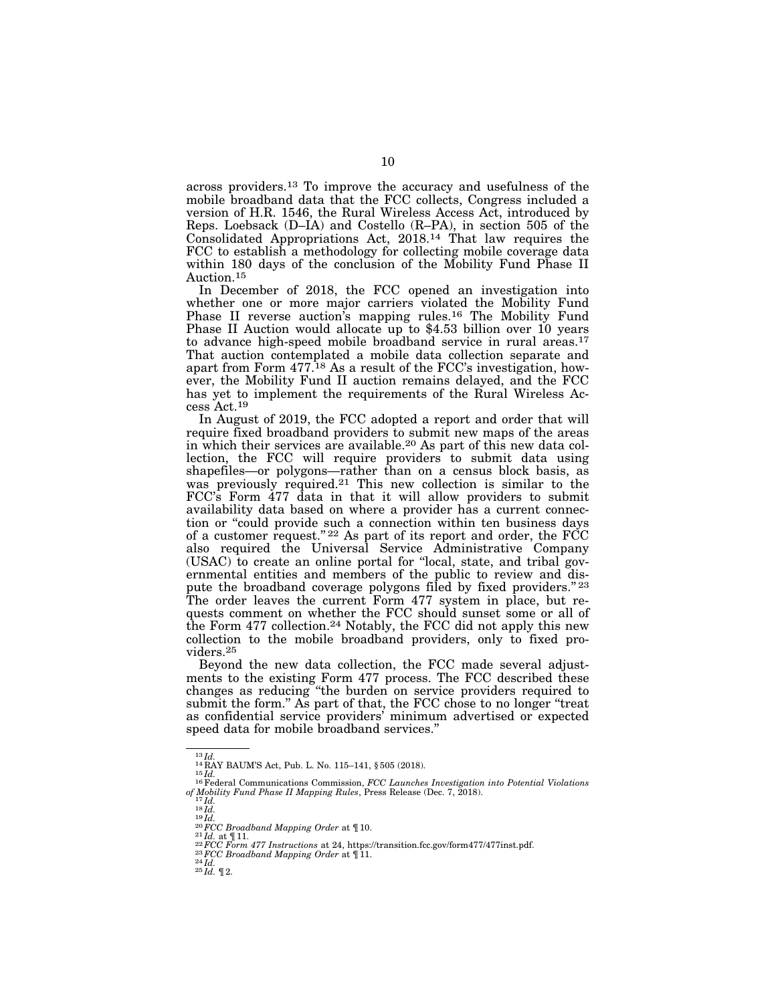across providers.13 To improve the accuracy and usefulness of the mobile broadband data that the FCC collects, Congress included a version of H.R. 1546, the Rural Wireless Access Act, introduced by Reps. Loebsack (D–IA) and Costello (R–PA), in section 505 of the Consolidated Appropriations Act, 2018.14 That law requires the FCC to establish a methodology for collecting mobile coverage data within 180 days of the conclusion of the Mobility Fund Phase II Auction.15

In December of 2018, the FCC opened an investigation into whether one or more major carriers violated the Mobility Fund Phase II reverse auction's mapping rules.16 The Mobility Fund Phase II Auction would allocate up to \$4.53 billion over 10 years to advance high-speed mobile broadband service in rural areas.<sup>17</sup> That auction contemplated a mobile data collection separate and apart from Form 477.18 As a result of the FCC's investigation, however, the Mobility Fund II auction remains delayed, and the FCC has yet to implement the requirements of the Rural Wireless Access Act.19

In August of 2019, the FCC adopted a report and order that will require fixed broadband providers to submit new maps of the areas in which their services are available.20 As part of this new data collection, the FCC will require providers to submit data using shapefiles—or polygons—rather than on a census block basis, as was previously required.<sup>21</sup> This new collection is similar to the FCC's Form 477 data in that it will allow providers to submit availability data based on where a provider has a current connection or ''could provide such a connection within ten business days of a customer request." <sup>22</sup> As part of its report and order, the  $\angle$ FCC also required the Universal Service Administrative Company (USAC) to create an online portal for ''local, state, and tribal governmental entities and members of the public to review and dispute the broadband coverage polygons filed by fixed providers." 23 The order leaves the current Form 477 system in place, but requests comment on whether the FCC should sunset some or all of the Form 477 collection.<sup>24</sup> Notably, the FCC did not apply this new collection to the mobile broadband providers, only to fixed providers.25

Beyond the new data collection, the FCC made several adjustments to the existing Form 477 process. The FCC described these changes as reducing ''the burden on service providers required to submit the form." As part of that, the FCC chose to no longer "treat as confidential service providers' minimum advertised or expected speed data for mobile broadband services.''

<sup>&</sup>lt;sup>13</sup> *Id.*<br><sup>14</sup> RAY BAUM'S Act, Pub. L. No. 115–141, § 505 (2018).<br><sup>15</sup> *Id. .*<br><sup>16</sup> Federal Communications Commission, *FCC Launches Investigation into Potential Violations* % of Mobility Fund Phase II Mapping Rules, Press Release (Dec. 7, 2018).<br>  $^{17}$ Id.<br>  $^{18}$ Id.<br>  $^{19}$ Id.<br>  $^{20}$ FCC Broadband Mapping Order at  $\P$ 10.<br>  $^{21}$ Id. at  $\P$ 11.<br>  $^{22}$ FCC Form 477 Instructions at 24, https://t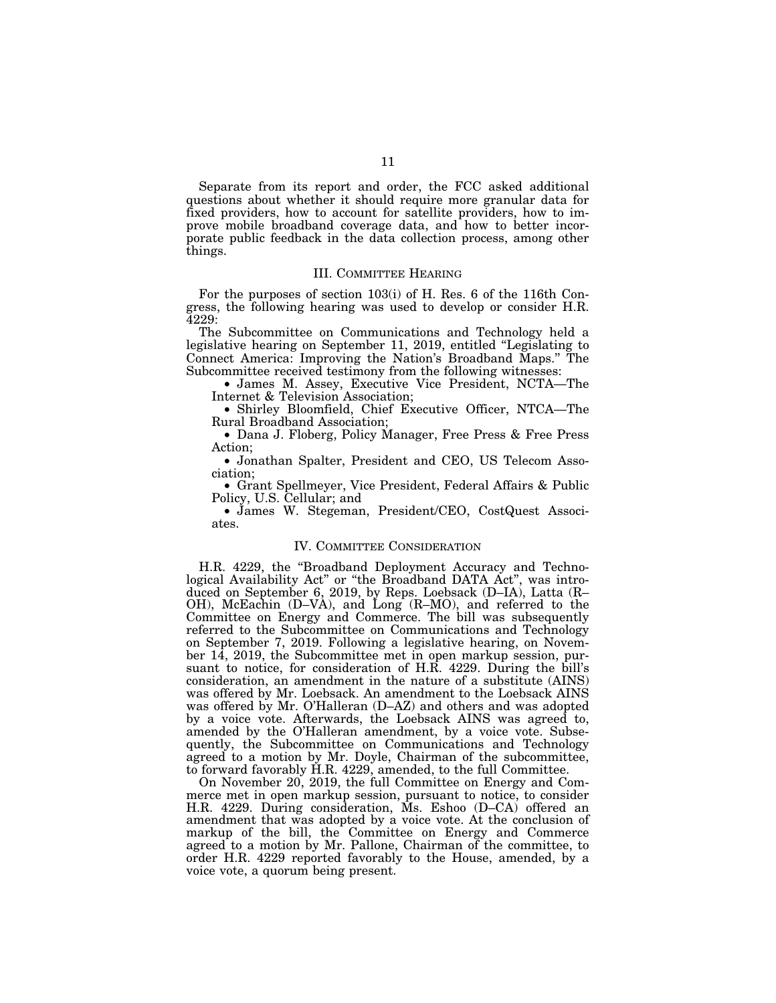Separate from its report and order, the FCC asked additional questions about whether it should require more granular data for fixed providers, how to account for satellite providers, how to improve mobile broadband coverage data, and how to better incorporate public feedback in the data collection process, among other things.

#### III. COMMITTEE HEARING

For the purposes of section 103(i) of H. Res. 6 of the 116th Congress, the following hearing was used to develop or consider H.R. 4229:

The Subcommittee on Communications and Technology held a legislative hearing on September 11, 2019, entitled ''Legislating to Connect America: Improving the Nation's Broadband Maps.'' The Subcommittee received testimony from the following witnesses:

• James M. Assey, Executive Vice President, NCTA—The Internet & Television Association;

• Shirley Bloomfield, Chief Executive Officer, NTCA—The Rural Broadband Association;

• Dana J. Floberg, Policy Manager, Free Press & Free Press Action;

• Jonathan Spalter, President and CEO, US Telecom Association;

• Grant Spellmeyer, Vice President, Federal Affairs & Public Policy, U.S. Cellular; and

• James W. Stegeman, President/CEO, CostQuest Associates.

### IV. COMMITTEE CONSIDERATION

H.R. 4229, the ''Broadband Deployment Accuracy and Technological Availability Act'' or ''the Broadband DATA Act'', was introduced on September 6, 2019, by Reps. Loebsack (D–IA), Latta (R– OH), McEachin (D–VA), and Long (R–MO), and referred to the Committee on Energy and Commerce. The bill was subsequently referred to the Subcommittee on Communications and Technology on September 7, 2019. Following a legislative hearing, on November 14, 2019, the Subcommittee met in open markup session, pursuant to notice, for consideration of H.R. 4229. During the bill's consideration, an amendment in the nature of a substitute (AINS) was offered by Mr. Loebsack. An amendment to the Loebsack AINS was offered by Mr. O'Halleran (D–AZ) and others and was adopted by a voice vote. Afterwards, the Loebsack AINS was agreed to, amended by the O'Halleran amendment, by a voice vote. Subsequently, the Subcommittee on Communications and Technology agreed to a motion by Mr. Doyle, Chairman of the subcommittee, to forward favorably H.R. 4229, amended, to the full Committee.

On November 20, 2019, the full Committee on Energy and Commerce met in open markup session, pursuant to notice, to consider H.R. 4229. During consideration, Ms. Eshoo (D–CA) offered an amendment that was adopted by a voice vote. At the conclusion of markup of the bill, the Committee on Energy and Commerce agreed to a motion by Mr. Pallone, Chairman of the committee, to order H.R. 4229 reported favorably to the House, amended, by a voice vote, a quorum being present.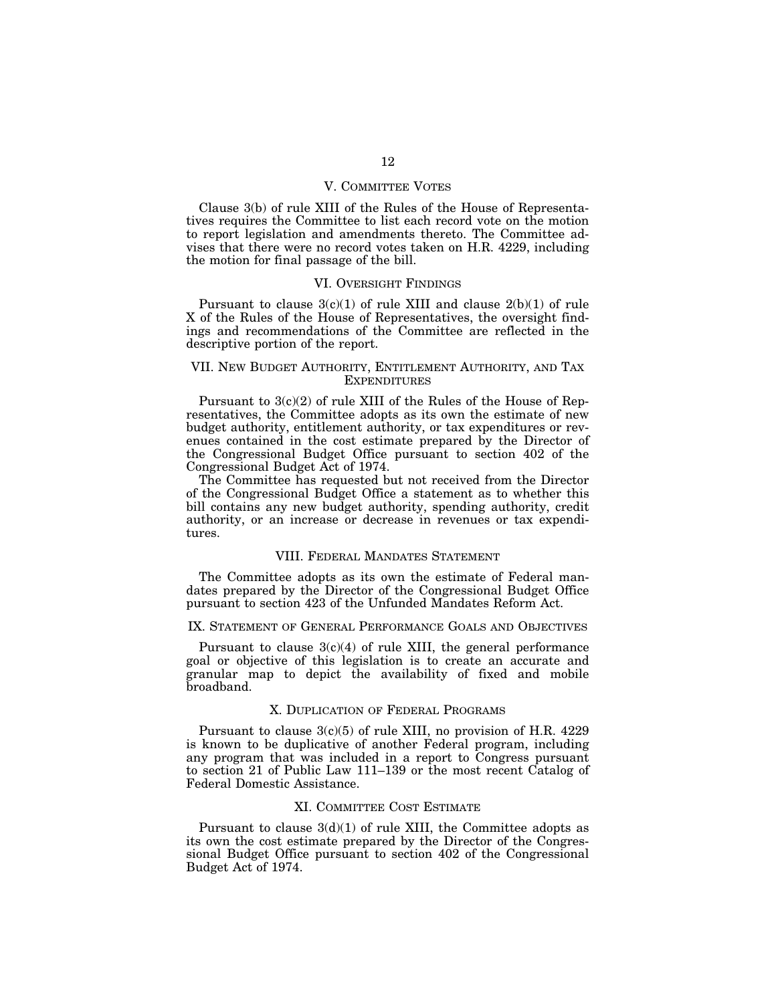### V. COMMITTEE VOTES

Clause 3(b) of rule XIII of the Rules of the House of Representatives requires the Committee to list each record vote on the motion to report legislation and amendments thereto. The Committee advises that there were no record votes taken on H.R. 4229, including the motion for final passage of the bill.

#### VI. OVERSIGHT FINDINGS

Pursuant to clause  $3(c)(1)$  of rule XIII and clause  $2(b)(1)$  of rule X of the Rules of the House of Representatives, the oversight findings and recommendations of the Committee are reflected in the descriptive portion of the report.

### VII. NEW BUDGET AUTHORITY, ENTITLEMENT AUTHORITY, AND TAX **EXPENDITURES**

Pursuant to 3(c)(2) of rule XIII of the Rules of the House of Representatives, the Committee adopts as its own the estimate of new budget authority, entitlement authority, or tax expenditures or revenues contained in the cost estimate prepared by the Director of the Congressional Budget Office pursuant to section 402 of the Congressional Budget Act of 1974.

The Committee has requested but not received from the Director of the Congressional Budget Office a statement as to whether this bill contains any new budget authority, spending authority, credit authority, or an increase or decrease in revenues or tax expenditures.

### VIII. FEDERAL MANDATES STATEMENT

The Committee adopts as its own the estimate of Federal mandates prepared by the Director of the Congressional Budget Office pursuant to section 423 of the Unfunded Mandates Reform Act.

## IX. STATEMENT OF GENERAL PERFORMANCE GOALS AND OBJECTIVES

Pursuant to clause  $3(c)(4)$  of rule XIII, the general performance goal or objective of this legislation is to create an accurate and granular map to depict the availability of fixed and mobile broadband.

### X. DUPLICATION OF FEDERAL PROGRAMS

Pursuant to clause 3(c)(5) of rule XIII, no provision of H.R. 4229 is known to be duplicative of another Federal program, including any program that was included in a report to Congress pursuant to section 21 of Public Law 111–139 or the most recent Catalog of Federal Domestic Assistance.

### XI. COMMITTEE COST ESTIMATE

Pursuant to clause  $3(d)(1)$  of rule XIII, the Committee adopts as its own the cost estimate prepared by the Director of the Congressional Budget Office pursuant to section 402 of the Congressional Budget Act of 1974.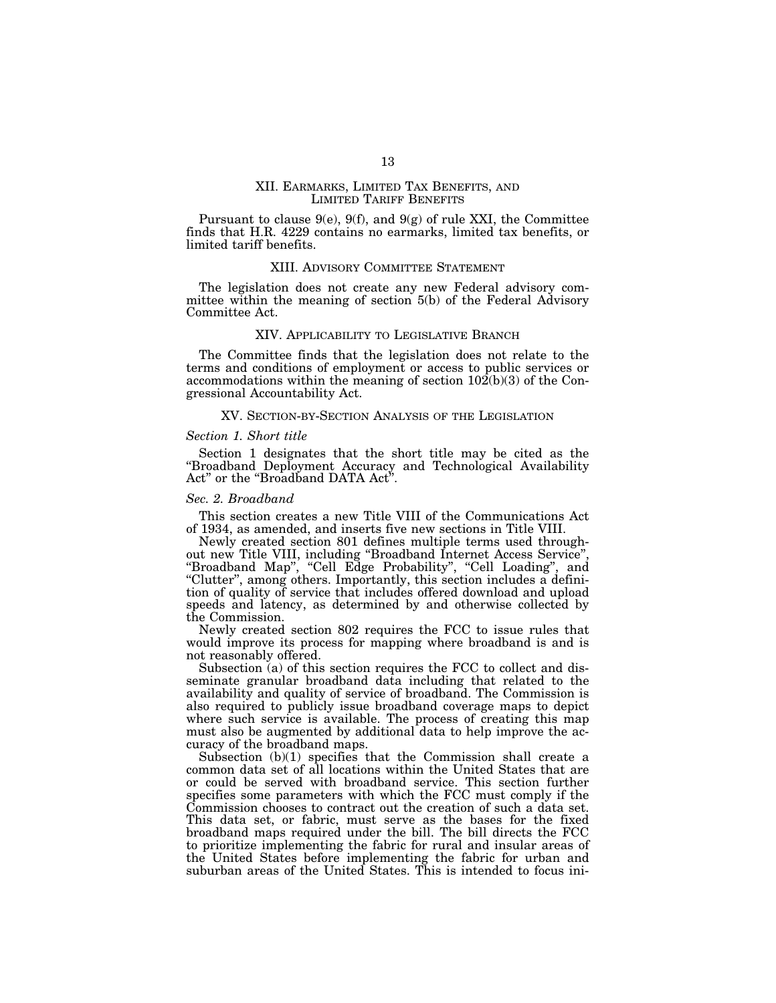### XII. EARMARKS, LIMITED TAX BENEFITS, AND LIMITED TARIFF BENEFITS

Pursuant to clause  $9(e)$ ,  $9(f)$ , and  $9(g)$  of rule XXI, the Committee finds that H.R. 4229 contains no earmarks, limited tax benefits, or limited tariff benefits.

#### XIII. ADVISORY COMMITTEE STATEMENT

The legislation does not create any new Federal advisory committee within the meaning of section 5(b) of the Federal Advisory Committee Act.

### XIV. APPLICABILITY TO LEGISLATIVE BRANCH

The Committee finds that the legislation does not relate to the terms and conditions of employment or access to public services or accommodations within the meaning of section  $10\overline{2}(b)(3)$  of the Congressional Accountability Act.

#### XV. SECTION-BY-SECTION ANALYSIS OF THE LEGISLATION

#### *Section 1. Short title*

Section 1 designates that the short title may be cited as the ''Broadband Deployment Accuracy and Technological Availability Act'' or the ''Broadband DATA Act''.

#### *Sec. 2. Broadband*

This section creates a new Title VIII of the Communications Act of 1934, as amended, and inserts five new sections in Title VIII.

Newly created section 801 defines multiple terms used throughout new Title VIII, including ''Broadband Internet Access Service'', ''Broadband Map'', ''Cell Edge Probability'', ''Cell Loading'', and ''Clutter'', among others. Importantly, this section includes a definition of quality of service that includes offered download and upload speeds and latency, as determined by and otherwise collected by the Commission.

Newly created section 802 requires the FCC to issue rules that would improve its process for mapping where broadband is and is not reasonably offered.

Subsection (a) of this section requires the FCC to collect and disseminate granular broadband data including that related to the availability and quality of service of broadband. The Commission is also required to publicly issue broadband coverage maps to depict where such service is available. The process of creating this map must also be augmented by additional data to help improve the accuracy of the broadband maps.

Subsection (b)(1) specifies that the Commission shall create a common data set of all locations within the United States that are or could be served with broadband service. This section further specifies some parameters with which the FCC must comply if the Commission chooses to contract out the creation of such a data set. This data set, or fabric, must serve as the bases for the fixed broadband maps required under the bill. The bill directs the FCC to prioritize implementing the fabric for rural and insular areas of the United States before implementing the fabric for urban and suburban areas of the United States. This is intended to focus ini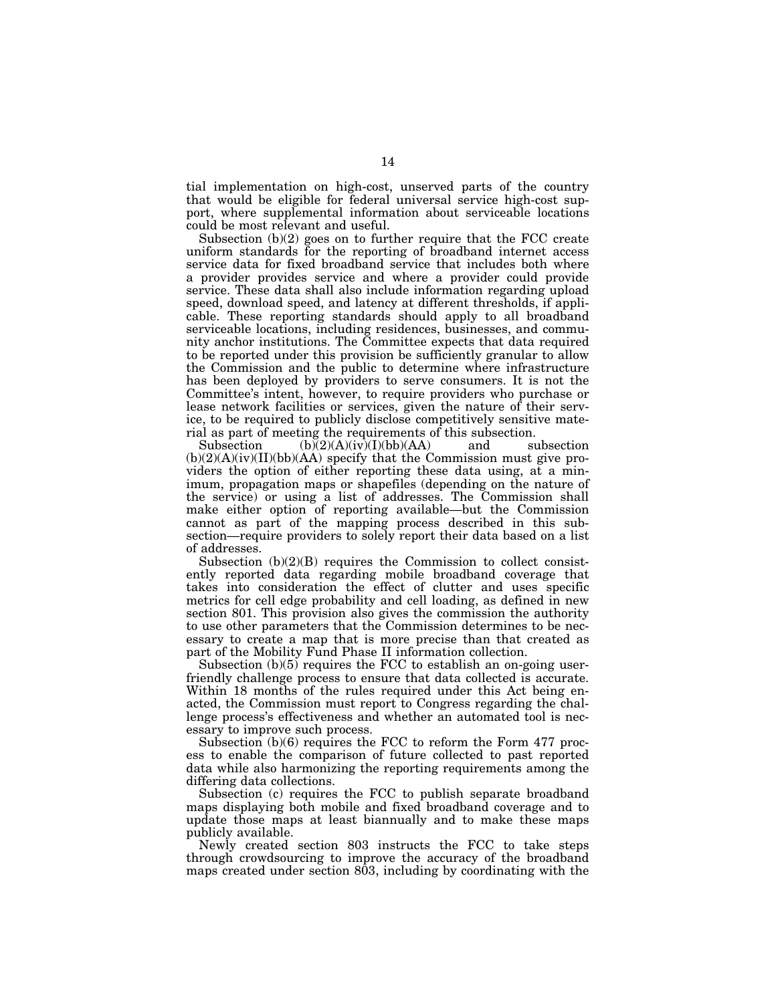tial implementation on high-cost, unserved parts of the country that would be eligible for federal universal service high-cost support, where supplemental information about serviceable locations could be most relevant and useful.

Subsection (b)(2) goes on to further require that the FCC create uniform standards for the reporting of broadband internet access service data for fixed broadband service that includes both where a provider provides service and where a provider could provide service. These data shall also include information regarding upload speed, download speed, and latency at different thresholds, if applicable. These reporting standards should apply to all broadband serviceable locations, including residences, businesses, and community anchor institutions. The Committee expects that data required to be reported under this provision be sufficiently granular to allow the Commission and the public to determine where infrastructure has been deployed by providers to serve consumers. It is not the Committee's intent, however, to require providers who purchase or lease network facilities or services, given the nature of their service, to be required to publicly disclose competitively sensitive mate-

rial as part of meeting the requirements of this subsection.<br>Subsection  $(b)(2)(A)(iv)(I)(bb)(AA)$  and subsection Subsection  $(b)(2)(A)(iv)(I)(bb)(AA)$  and (b)(2)(A)(iv)(II)(bb)(AA) specify that the Commission must give providers the option of either reporting these data using, at a minimum, propagation maps or shapefiles (depending on the nature of the service) or using a list of addresses. The Commission shall make either option of reporting available—but the Commission cannot as part of the mapping process described in this subsection—require providers to solely report their data based on a list of addresses.

Subsection (b)(2)(B) requires the Commission to collect consistently reported data regarding mobile broadband coverage that takes into consideration the effect of clutter and uses specific metrics for cell edge probability and cell loading, as defined in new section 801. This provision also gives the commission the authority to use other parameters that the Commission determines to be necessary to create a map that is more precise than that created as part of the Mobility Fund Phase II information collection.

Subsection (b)(5) requires the FCC to establish an on-going userfriendly challenge process to ensure that data collected is accurate. Within 18 months of the rules required under this Act being enacted, the Commission must report to Congress regarding the challenge process's effectiveness and whether an automated tool is necessary to improve such process.

Subsection (b)(6) requires the FCC to reform the Form 477 process to enable the comparison of future collected to past reported data while also harmonizing the reporting requirements among the differing data collections.

Subsection (c) requires the FCC to publish separate broadband maps displaying both mobile and fixed broadband coverage and to update those maps at least biannually and to make these maps publicly available.

Newly created section 803 instructs the FCC to take steps through crowdsourcing to improve the accuracy of the broadband maps created under section 803, including by coordinating with the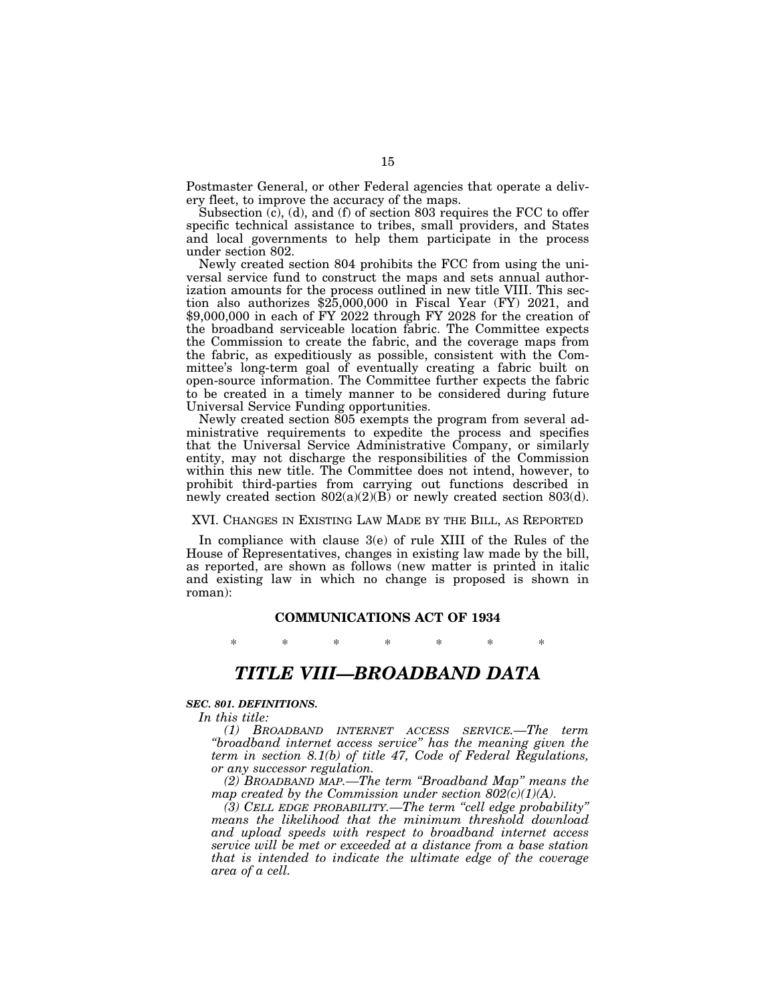Postmaster General, or other Federal agencies that operate a delivery fleet, to improve the accuracy of the maps.

Subsection (c), (d), and (f) of section 803 requires the FCC to offer specific technical assistance to tribes, small providers, and States and local governments to help them participate in the process under section 802.

Newly created section 804 prohibits the FCC from using the universal service fund to construct the maps and sets annual authorization amounts for the process outlined in new title VIII. This section also authorizes \$25,000,000 in Fiscal Year (FY) 2021, and \$9,000,000 in each of FY 2022 through FY 2028 for the creation of the broadband serviceable location fabric. The Committee expects the Commission to create the fabric, and the coverage maps from the fabric, as expeditiously as possible, consistent with the Committee's long-term goal of eventually creating a fabric built on open-source information. The Committee further expects the fabric to be created in a timely manner to be considered during future Universal Service Funding opportunities.

Newly created section 805 exempts the program from several administrative requirements to expedite the process and specifies that the Universal Service Administrative Company, or similarly entity, may not discharge the responsibilities of the Commission within this new title. The Committee does not intend, however, to prohibit third-parties from carrying out functions described in newly created section  $802(a)(2)(B)$  or newly created section  $803(d)$ .

#### XVI. CHANGES IN EXISTING LAW MADE BY THE BILL, AS REPORTED

In compliance with clause 3(e) of rule XIII of the Rules of the House of Representatives, changes in existing law made by the bill, as reported, are shown as follows (new matter is printed in italic and existing law in which no change is proposed is shown in roman):

### **COMMUNICATIONS ACT OF 1934**

\* \* \* \* \* \* \*

# *TITLE VIII—BROADBAND DATA*

### *SEC. 801. DEFINITIONS.*

*In this title:* 

*(1) BROADBAND INTERNET ACCESS SERVICE.—The term ''broadband internet access service'' has the meaning given the term in section 8.1(b) of title 47, Code of Federal Regulations, or any successor regulation.* 

*(2) BROADBAND MAP.—The term ''Broadband Map'' means the map created by the Commission under section 802(c)(1)(A).* 

*(3) CELL EDGE PROBABILITY.—The term ''cell edge probability'' means the likelihood that the minimum threshold download and upload speeds with respect to broadband internet access service will be met or exceeded at a distance from a base station that is intended to indicate the ultimate edge of the coverage area of a cell.*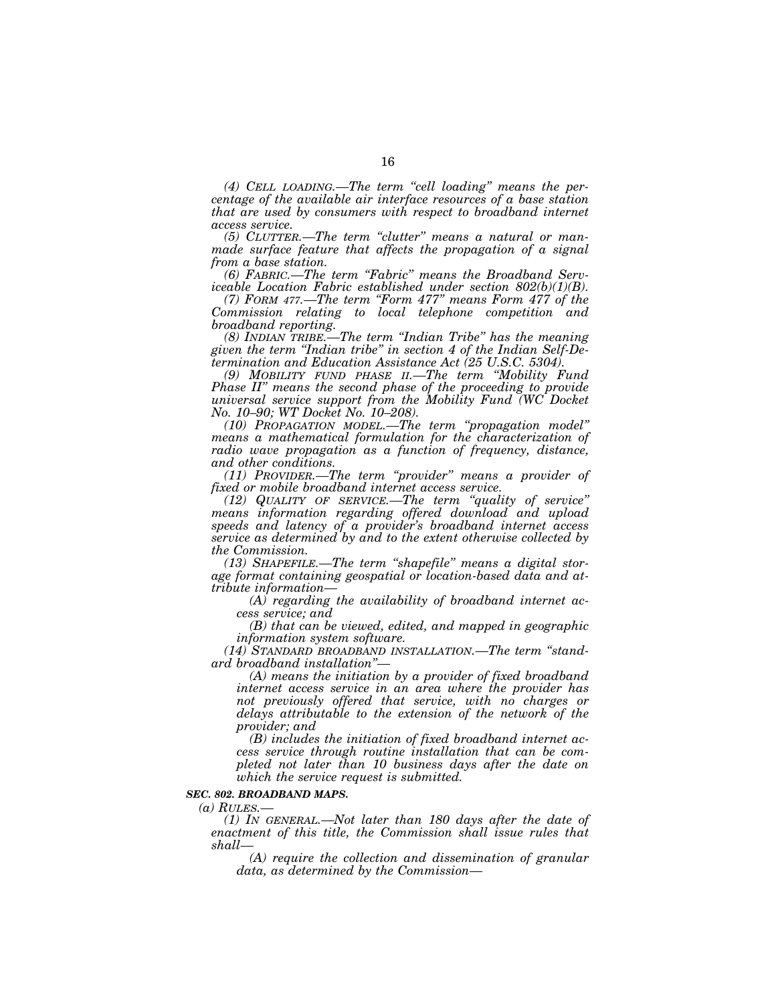*(4) CELL LOADING.—The term ''cell loading'' means the percentage of the available air interface resources of a base station that are used by consumers with respect to broadband internet access service.* 

*(5) CLUTTER.—The term ''clutter'' means a natural or manmade surface feature that affects the propagation of a signal from a base station.* 

*(6) FABRIC.—The term ''Fabric'' means the Broadband Serviceable Location Fabric established under section 802(b)(1)(B).* 

*(7) FORM 477.—The term ''Form 477'' means Form 477 of the Commission relating to local telephone competition and broadband reporting.* 

*(8) INDIAN TRIBE.—The term ''Indian Tribe'' has the meaning given the term ''Indian tribe'' in section 4 of the Indian Self-Determination and Education Assistance Act (25 U.S.C. 5304).* 

*(9) MOBILITY FUND PHASE II.—The term ''Mobility Fund Phase II'' means the second phase of the proceeding to provide universal service support from the Mobility Fund (WC Docket No. 10–90; WT Docket No. 10–208).* 

*(10) PROPAGATION MODEL.—The term ''propagation model'' means a mathematical formulation for the characterization of radio wave propagation as a function of frequency, distance, and other conditions.* 

*(11) PROVIDER.—The term ''provider'' means a provider of fixed or mobile broadband internet access service.* 

*(12) QUALITY OF SERVICE.—The term ''quality of service'' means information regarding offered download and upload speeds and latency of a provider's broadband internet access service as determined by and to the extent otherwise collected by the Commission.* 

*(13) SHAPEFILE.—The term ''shapefile'' means a digital storage format containing geospatial or location-based data and attribute information—* 

*(A) regarding the availability of broadband internet access service; and* 

*(B) that can be viewed, edited, and mapped in geographic information system software.* 

*(14) STANDARD BROADBAND INSTALLATION.—The term ''standard broadband installation''—* 

*(A) means the initiation by a provider of fixed broadband internet access service in an area where the provider has not previously offered that service, with no charges or delays attributable to the extension of the network of the provider; and* 

*(B) includes the initiation of fixed broadband internet access service through routine installation that can be completed not later than 10 business days after the date on which the service request is submitted.* 

### *SEC. 802. BROADBAND MAPS.*

*(a) RULES.—* 

*(1) IN GENERAL.—Not later than 180 days after the date of enactment of this title, the Commission shall issue rules that shall—* 

*(A) require the collection and dissemination of granular data, as determined by the Commission—*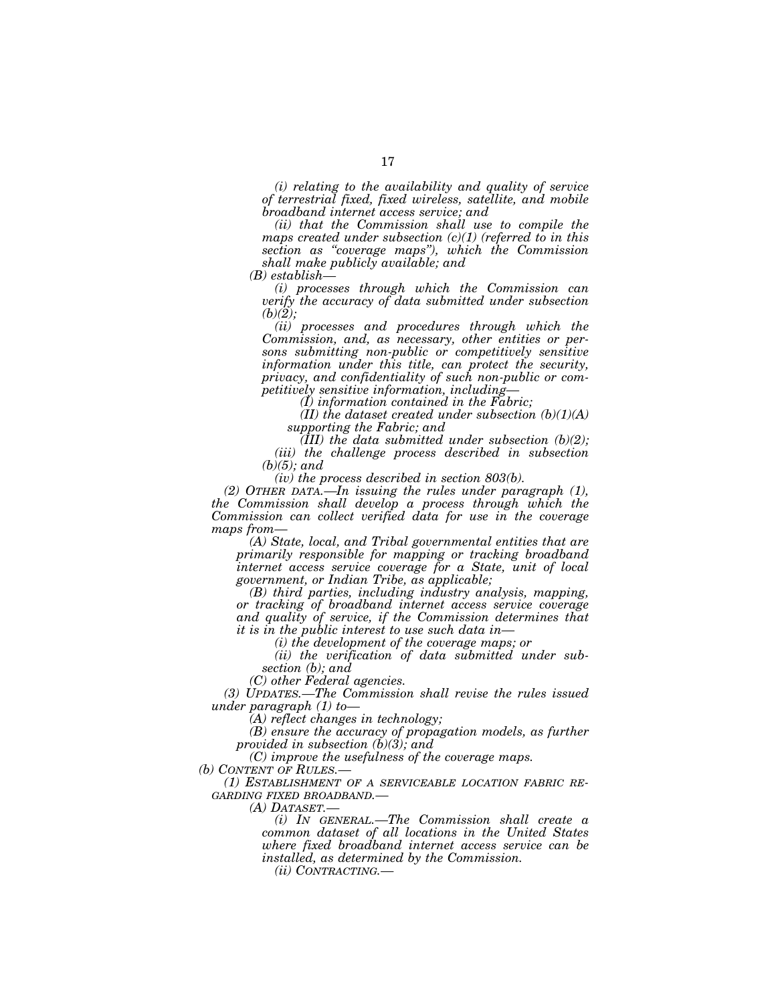*(i) relating to the availability and quality of service of terrestrial fixed, fixed wireless, satellite, and mobile broadband internet access service; and* 

*(ii) that the Commission shall use to compile the maps created under subsection (c)(1) (referred to in this section as ''coverage maps''), which the Commission shall make publicly available; and* 

*(B) establish—* 

*(i) processes through which the Commission can verify the accuracy of data submitted under subsection (b)(2);* 

*(ii) processes and procedures through which the Commission, and, as necessary, other entities or persons submitting non-public or competitively sensitive information under this title, can protect the security, privacy, and confidentiality of such non-public or competitively sensitive information, including—* 

*(I) information contained in the Fabric;* 

*(II) the dataset created under subsection (b)(1)(A) supporting the Fabric; and* 

*(III) the data submitted under subsection (b)(2); (iii) the challenge process described in subsection (b)(5); and* 

*(iv) the process described in section 803(b).* 

*(2) OTHER DATA.—In issuing the rules under paragraph (1), the Commission shall develop a process through which the Commission can collect verified data for use in the coverage maps from—* 

*(A) State, local, and Tribal governmental entities that are primarily responsible for mapping or tracking broadband internet access service coverage for a State, unit of local government, or Indian Tribe, as applicable;* 

*(B) third parties, including industry analysis, mapping, or tracking of broadband internet access service coverage and quality of service, if the Commission determines that it is in the public interest to use such data in—* 

*(i) the development of the coverage maps; or* 

*(ii) the verification of data submitted under subsection (b); and* 

*(C) other Federal agencies.* 

*(3) UPDATES.—The Commission shall revise the rules issued under paragraph (1) to—* 

*(A) reflect changes in technology;* 

*(B) ensure the accuracy of propagation models, as further provided in subsection (b)(3); and* 

*(C) improve the usefulness of the coverage maps.* 

*(b) CONTENT OF RULES.—* 

*(1) ESTABLISHMENT OF A SERVICEABLE LOCATION FABRIC RE-GARDING FIXED BROADBAND.— (A) DATASET.— (i) IN GENERAL.—The Commission shall create a* 

*common dataset of all locations in the United States where fixed broadband internet access service can be installed, as determined by the Commission.* 

*(ii) CONTRACTING.—*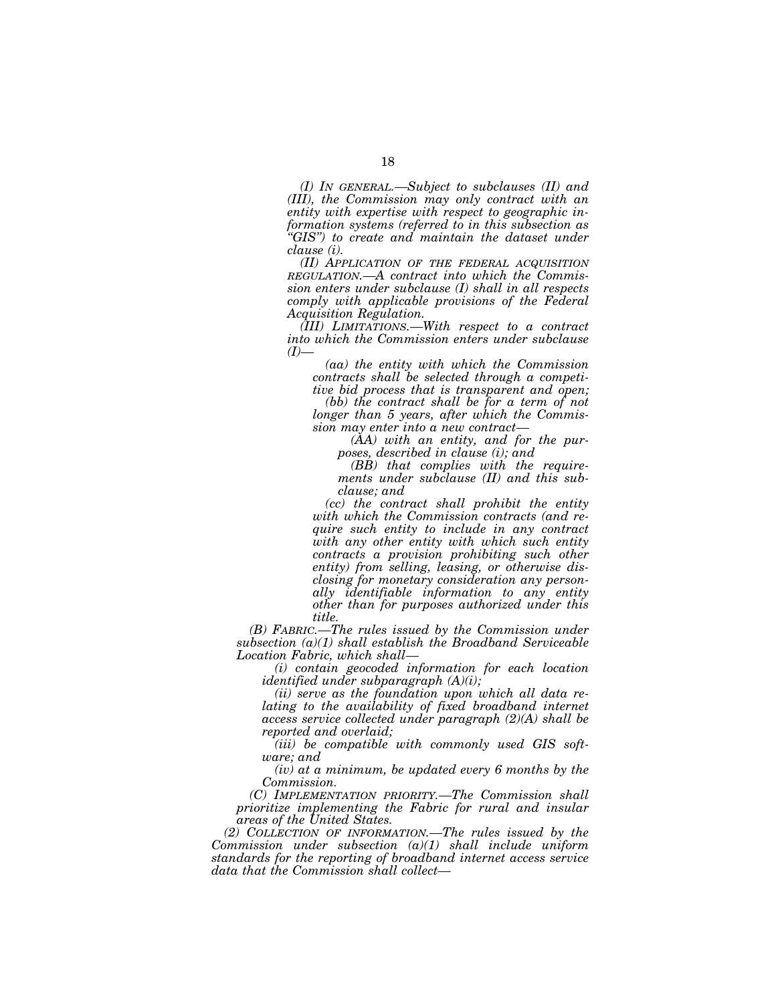*(I) IN GENERAL.—Subject to subclauses (II) and (III), the Commission may only contract with an entity with expertise with respect to geographic information systems (referred to in this subsection as ''GIS'') to create and maintain the dataset under clause (i).* 

*(II) APPLICATION OF THE FEDERAL ACQUISITION REGULATION.—A contract into which the Commission enters under subclause (I) shall in all respects comply with applicable provisions of the Federal Acquisition Regulation.* 

*(III) LIMITATIONS.—With respect to a contract into which the Commission enters under subclause (I)—* 

*(aa) the entity with which the Commission contracts shall be selected through a competitive bid process that is transparent and open;* 

*(bb) the contract shall be for a term of not longer than 5 years, after which the Commission may enter into a new contract—* 

*(AA) with an entity, and for the purposes, described in clause (i); and* 

*(BB) that complies with the requirements under subclause (II) and this subclause; and* 

*(cc) the contract shall prohibit the entity with which the Commission contracts (and require such entity to include in any contract with any other entity with which such entity contracts a provision prohibiting such other entity) from selling, leasing, or otherwise disclosing for monetary consideration any personally identifiable information to any entity other than for purposes authorized under this title.* 

*(B) FABRIC.—The rules issued by the Commission under subsection (a)(1) shall establish the Broadband Serviceable Location Fabric, which shall—* 

*(i) contain geocoded information for each location identified under subparagraph (A)(i);* 

*(ii) serve as the foundation upon which all data re*lating to the availability of fixed broadband internet *access service collected under paragraph (2)(A) shall be reported and overlaid;* 

*(iii) be compatible with commonly used GIS software; and* 

*(iv) at a minimum, be updated every 6 months by the Commission.* 

*(C) IMPLEMENTATION PRIORITY.—The Commission shall prioritize implementing the Fabric for rural and insular areas of the United States.* 

*(2) COLLECTION OF INFORMATION.—The rules issued by the Commission under subsection (a)(1) shall include uniform standards for the reporting of broadband internet access service data that the Commission shall collect—*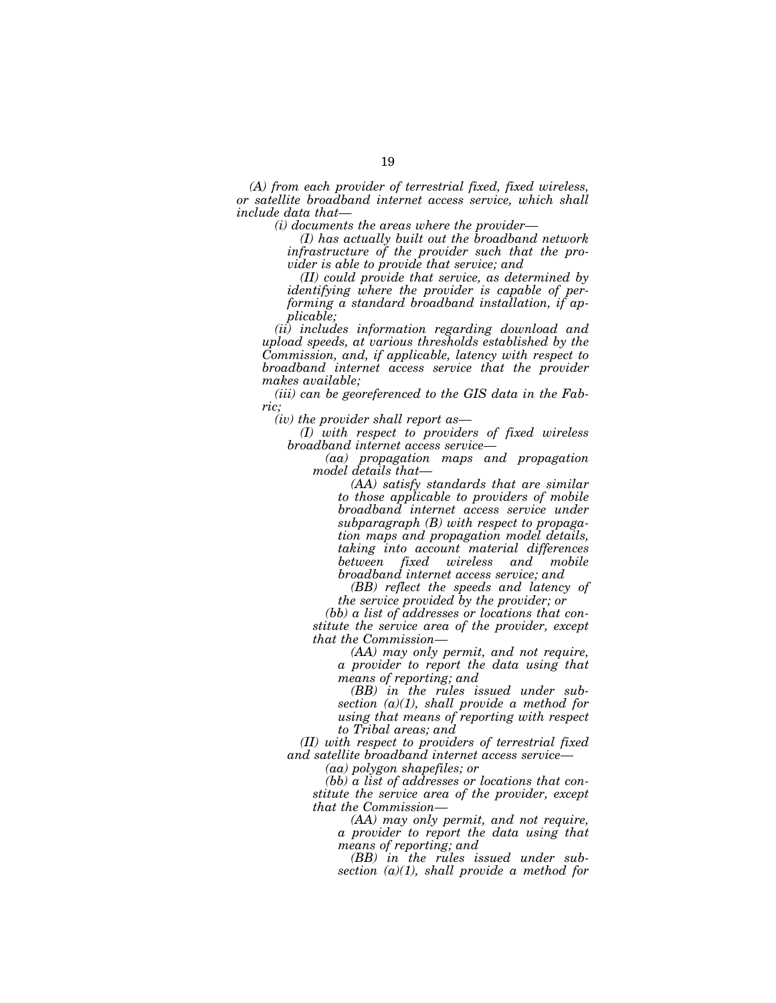*(A) from each provider of terrestrial fixed, fixed wireless, or satellite broadband internet access service, which shall include data that—* 

*(i) documents the areas where the provider—* 

*(I) has actually built out the broadband network infrastructure of the provider such that the provider is able to provide that service; and* 

*(II) could provide that service, as determined by identifying where the provider is capable of performing a standard broadband installation, if applicable;* 

*(ii) includes information regarding download and upload speeds, at various thresholds established by the Commission, and, if applicable, latency with respect to broadband internet access service that the provider makes available;* 

*(iii) can be georeferenced to the GIS data in the Fabric;* 

*(iv) the provider shall report as—* 

*(I) with respect to providers of fixed wireless broadband internet access service—* 

*(aa) propagation maps and propagation model details that—* 

*(AA) satisfy standards that are similar to those applicable to providers of mobile broadband internet access service under subparagraph (B) with respect to propagation maps and propagation model details, taking into account material differences fixed wireless and mobile broadband internet access service; and* 

*(BB) reflect the speeds and latency of the service provided by the provider; or* 

*(bb) a list of addresses or locations that constitute the service area of the provider, except that the Commission—* 

*(AA) may only permit, and not require, a provider to report the data using that means of reporting; and* 

*(BB) in the rules issued under subsection (a)(1), shall provide a method for using that means of reporting with respect to Tribal areas; and* 

*(II) with respect to providers of terrestrial fixed and satellite broadband internet access service—* 

*(aa) polygon shapefiles; or* 

*(bb) a list of addresses or locations that constitute the service area of the provider, except that the Commission—* 

*(AA) may only permit, and not require, a provider to report the data using that means of reporting; and* 

*(BB) in the rules issued under subsection (a)(1), shall provide a method for*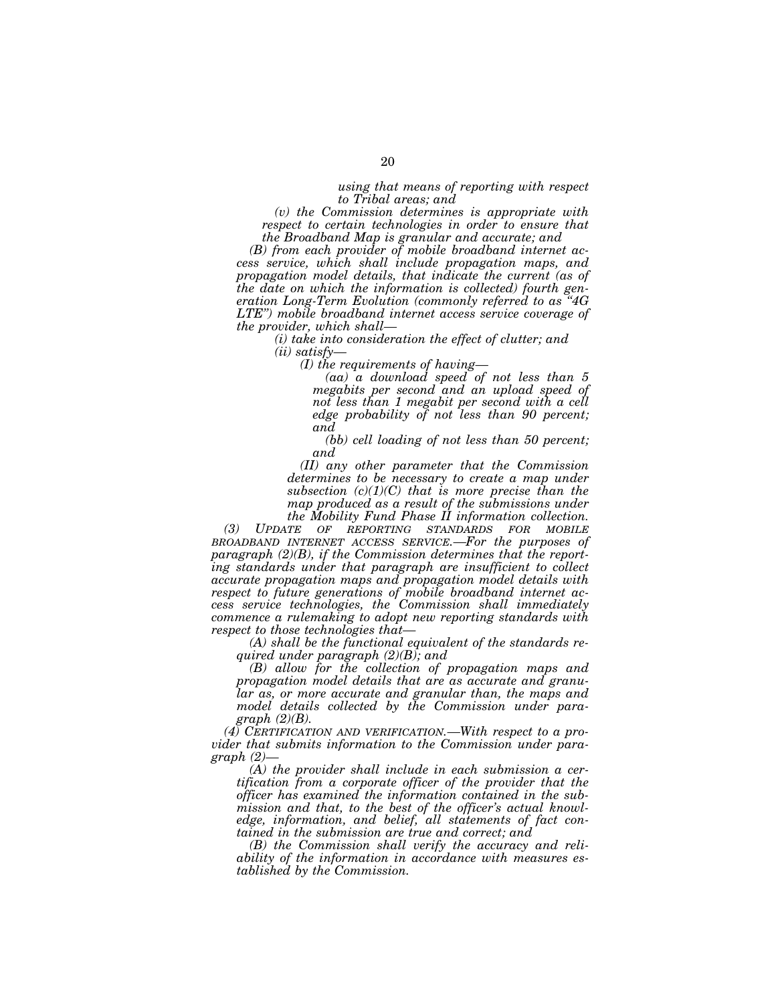*using that means of reporting with respect to Tribal areas; and* 

*(v) the Commission determines is appropriate with respect to certain technologies in order to ensure that the Broadband Map is granular and accurate; and* 

*(B) from each provider of mobile broadband internet access service, which shall include propagation maps, and propagation model details, that indicate the current (as of the date on which the information is collected) fourth generation Long-Term Evolution (commonly referred to as ''4G LTE'') mobile broadband internet access service coverage of the provider, which shall—* 

> *(i) take into consideration the effect of clutter; and (ii) satisfy—*

*(I) the requirements of having—* 

*(aa) a download speed of not less than 5 megabits per second and an upload speed of not less than 1 megabit per second with a cell edge probability of not less than 90 percent; and* 

*(bb) cell loading of not less than 50 percent; and* 

*(II) any other parameter that the Commission determines to be necessary to create a map under subsection (c)(1)(C) that is more precise than the map produced as a result of the submissions under the Mobility Fund Phase II information collection.* 

*(3) UPDATE OF REPORTING STANDARDS FOR MOBILE BROADBAND INTERNET ACCESS SERVICE.—For the purposes of paragraph (2)(B), if the Commission determines that the report*ing standards under that paragraph are insufficient to collect *accurate propagation maps and propagation model details with respect to future generations of mobile broadband internet access service technologies, the Commission shall immediately commence a rulemaking to adopt new reporting standards with respect to those technologies that—* 

*(A) shall be the functional equivalent of the standards required under paragraph (2)(B); and* 

*(B) allow for the collection of propagation maps and propagation model details that are as accurate and granular as, or more accurate and granular than, the maps and model details collected by the Commission under paragraph (2)(B).* 

*(4) CERTIFICATION AND VERIFICATION.—With respect to a provider that submits information to the Commission under paragraph (2)—* 

*(A) the provider shall include in each submission a certification from a corporate officer of the provider that the officer has examined the information contained in the submission and that, to the best of the officer's actual knowledge, information, and belief, all statements of fact contained in the submission are true and correct; and* 

*(B) the Commission shall verify the accuracy and reliability of the information in accordance with measures established by the Commission.*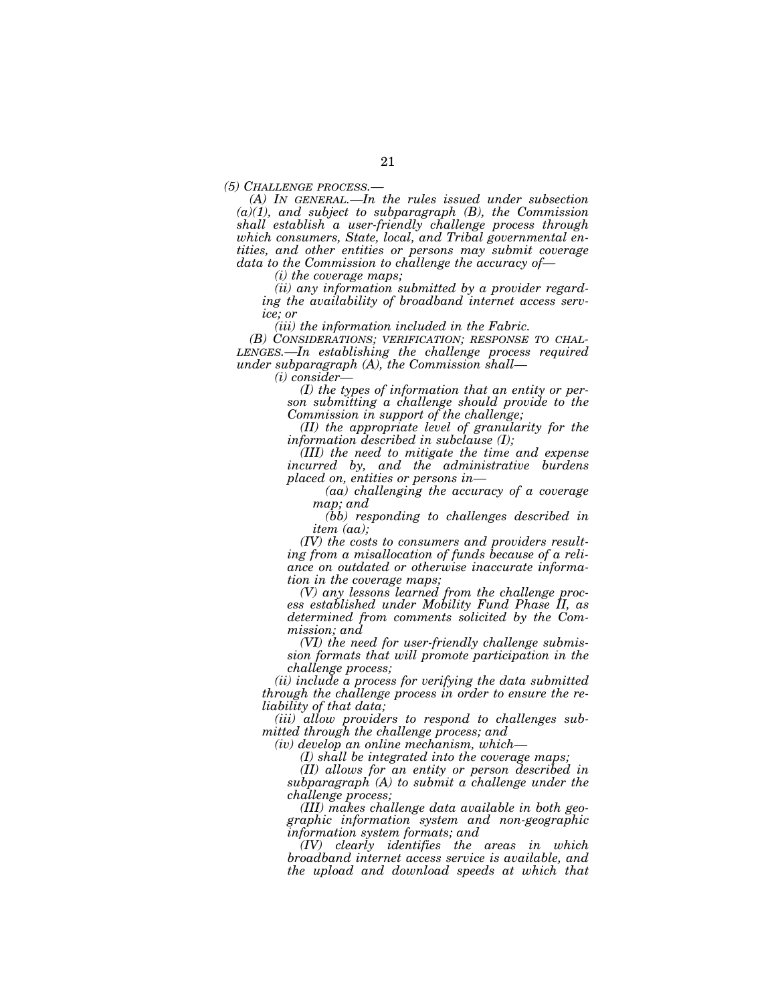*(5) CHALLENGE PROCESS.— (A) IN GENERAL.—In the rules issued under subsection (a)(1), and subject to subparagraph (B), the Commission shall establish a user-friendly challenge process through which consumers, State, local, and Tribal governmental entities, and other entities or persons may submit coverage data to the Commission to challenge the accuracy of—* 

*(i) the coverage maps;* 

*(ii) any information submitted by a provider regarding the availability of broadband internet access service; or* 

*(iii) the information included in the Fabric.* 

*(B) CONSIDERATIONS; VERIFICATION; RESPONSE TO CHAL-LENGES.—In establishing the challenge process required under subparagraph (A), the Commission shall—* 

*(i) consider—* 

*(I) the types of information that an entity or person submitting a challenge should provide to the Commission in support of the challenge;* 

*(II) the appropriate level of granularity for the information described in subclause (I);* 

*(III) the need to mitigate the time and expense incurred by, and the administrative burdens placed on, entities or persons in—* 

*(aa) challenging the accuracy of a coverage map; and* 

*(bb) responding to challenges described in item (aa);* 

*(IV) the costs to consumers and providers resulting from a misallocation of funds because of a reliance on outdated or otherwise inaccurate information in the coverage maps;* 

*(V) any lessons learned from the challenge process established under Mobility Fund Phase II, as determined from comments solicited by the Commission; and* 

*(VI) the need for user-friendly challenge submission formats that will promote participation in the challenge process;* 

*(ii) include a process for verifying the data submitted through the challenge process in order to ensure the reliability of that data;* 

*(iii) allow providers to respond to challenges submitted through the challenge process; and* 

*(iv) develop an online mechanism, which—* 

*(I) shall be integrated into the coverage maps;* 

*(II) allows for an entity or person described in subparagraph (A) to submit a challenge under the challenge process;* 

*(III) makes challenge data available in both geographic information system and non-geographic information system formats; and* 

*(IV) clearly identifies the areas in which broadband internet access service is available, and the upload and download speeds at which that*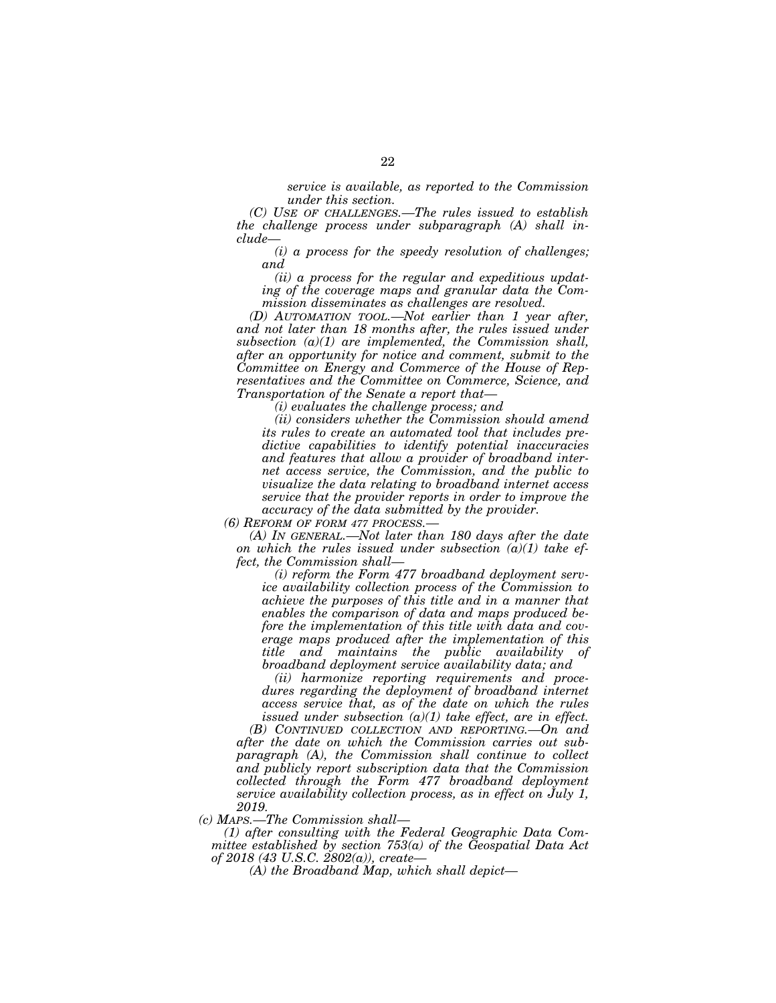*service is available, as reported to the Commission under this section.* 

*(C) USE OF CHALLENGES.—The rules issued to establish the challenge process under subparagraph (A) shall include—* 

*(i) a process for the speedy resolution of challenges; and* 

*(ii) a process for the regular and expeditious updating of the coverage maps and granular data the Commission disseminates as challenges are resolved.* 

*(D) AUTOMATION TOOL.—Not earlier than 1 year after, and not later than 18 months after, the rules issued under subsection (a)(1) are implemented, the Commission shall, after an opportunity for notice and comment, submit to the Committee on Energy and Commerce of the House of Representatives and the Committee on Commerce, Science, and Transportation of the Senate a report that—* 

*(i) evaluates the challenge process; and* 

*(ii) considers whether the Commission should amend its rules to create an automated tool that includes predictive capabilities to identify potential inaccuracies and features that allow a provider of broadband internet access service, the Commission, and the public to visualize the data relating to broadband internet access service that the provider reports in order to improve the accuracy of the data submitted by the provider.* 

*(6) REFORM OF FORM 477 PROCESS.—* 

*(A) IN GENERAL.—Not later than 180 days after the date on which the rules issued under subsection (a)(1) take effect, the Commission shall—* 

*(i) reform the Form 477 broadband deployment service availability collection process of the Commission to achieve the purposes of this title and in a manner that enables the comparison of data and maps produced before the implementation of this title with data and coverage maps produced after the implementation of this title and maintains the public availability of broadband deployment service availability data; and* 

*(ii) harmonize reporting requirements and procedures regarding the deployment of broadband internet access service that, as of the date on which the rules issued under subsection (a)(1) take effect, are in effect.* 

*(B) CONTINUED COLLECTION AND REPORTING.—On and after the date on which the Commission carries out subparagraph (A), the Commission shall continue to collect and publicly report subscription data that the Commission collected through the Form 477 broadband deployment service availability collection process, as in effect on July 1, 2019.* 

*(c) MAPS.—The Commission shall—* 

*(1) after consulting with the Federal Geographic Data Committee established by section 753(a) of the Geospatial Data Act of 2018 (43 U.S.C. 2802(a)), create—* 

*(A) the Broadband Map, which shall depict—*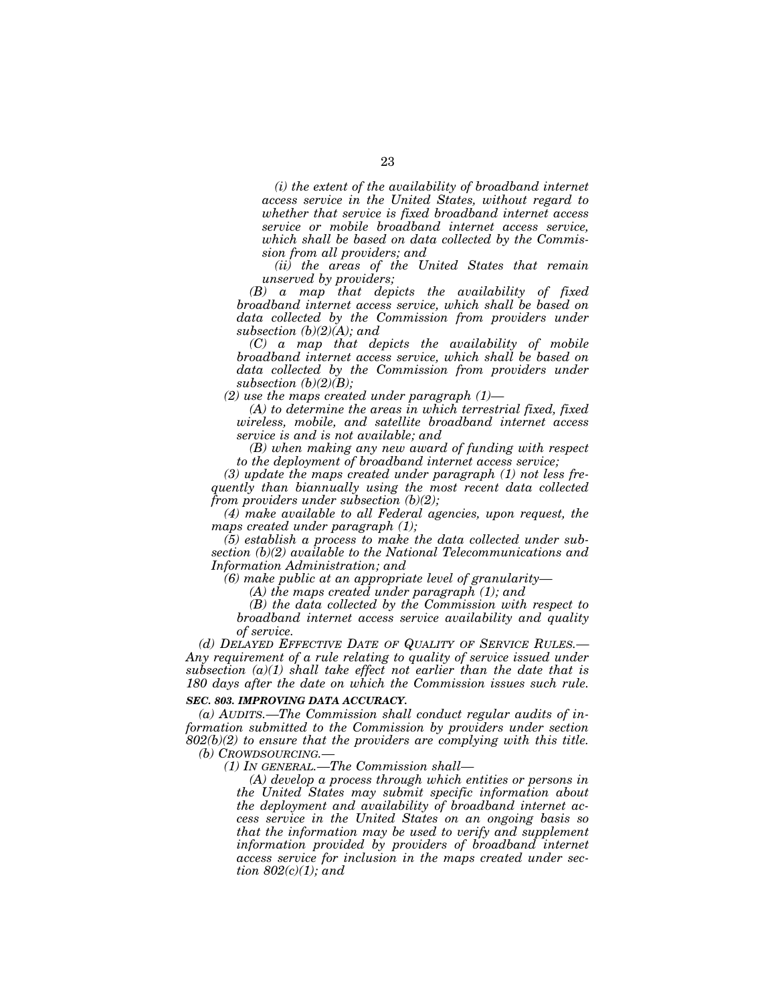*(i) the extent of the availability of broadband internet access service in the United States, without regard to whether that service is fixed broadband internet access service or mobile broadband internet access service, which shall be based on data collected by the Commission from all providers; and* 

*(ii) the areas of the United States that remain unserved by providers;* 

*(B) a map that depicts the availability of fixed broadband internet access service, which shall be based on data collected by the Commission from providers under subsection (b)(2)(A); and* 

*(C) a map that depicts the availability of mobile broadband internet access service, which shall be based on data collected by the Commission from providers under subsection (b)(2)(B);* 

*(2) use the maps created under paragraph (1)—* 

*(A) to determine the areas in which terrestrial fixed, fixed wireless, mobile, and satellite broadband internet access service is and is not available; and* 

*(B) when making any new award of funding with respect to the deployment of broadband internet access service;* 

*(3) update the maps created under paragraph (1) not less frequently than biannually using the most recent data collected from providers under subsection (b)(2);* 

*(4) make available to all Federal agencies, upon request, the maps created under paragraph (1);* 

*(5) establish a process to make the data collected under subsection (b)(2) available to the National Telecommunications and Information Administration; and* 

*(6) make public at an appropriate level of granularity—* 

*(A) the maps created under paragraph (1); and* 

*(B) the data collected by the Commission with respect to broadband internet access service availability and quality of service.* 

*(d) DELAYED EFFECTIVE DATE OF QUALITY OF SERVICE RULES.— Any requirement of a rule relating to quality of service issued under subsection (a)(1) shall take effect not earlier than the date that is 180 days after the date on which the Commission issues such rule.* 

## *SEC. 803. IMPROVING DATA ACCURACY.*

*(a) AUDITS.—The Commission shall conduct regular audits of information submitted to the Commission by providers under section 802(b)(2) to ensure that the providers are complying with this title. (b) CROWDSOURCING.—* 

*(1) IN GENERAL.—The Commission shall—* 

*(A) develop a process through which entities or persons in the United States may submit specific information about the deployment and availability of broadband internet access service in the United States on an ongoing basis so that the information may be used to verify and supplement information provided by providers of broadband internet access service for inclusion in the maps created under section 802(c)(1); and*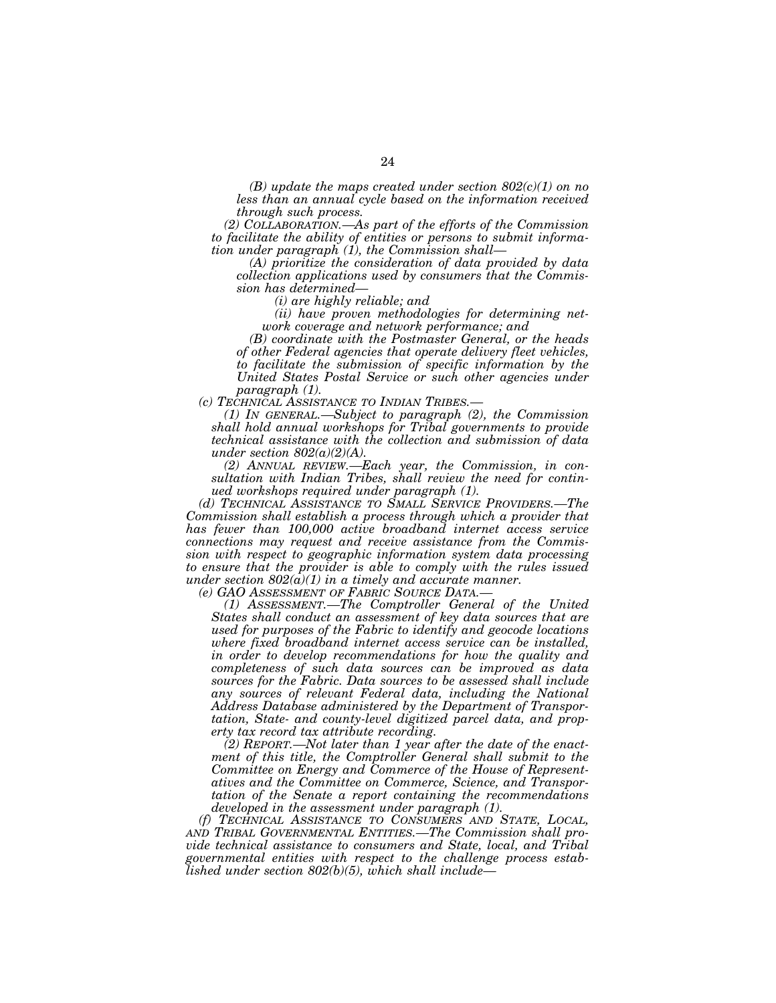*(B) update the maps created under section 802(c)(1) on no less than an annual cycle based on the information received through such process.* 

*(2) COLLABORATION.—As part of the efforts of the Commission to facilitate the ability of entities or persons to submit information under paragraph (1), the Commission shall—* 

*(A) prioritize the consideration of data provided by data collection applications used by consumers that the Commission has determined—* 

*(i) are highly reliable; and* 

*(ii) have proven methodologies for determining network coverage and network performance; and* 

*(B) coordinate with the Postmaster General, or the heads of other Federal agencies that operate delivery fleet vehicles, to facilitate the submission of specific information by the United States Postal Service or such other agencies under* 

*paragraph (1).* 

*(1) IN GENERAL --Subject to paragraph (2), the Commission shall hold annual workshops for Tribal governments to provide technical assistance with the collection and submission of data under section 802(a)(2)(A).* 

*(2) ANNUAL REVIEW.—Each year, the Commission, in consultation with Indian Tribes, shall review the need for continued workshops required under paragraph (1).* 

*(d) TECHNICAL ASSISTANCE TO SMALL SERVICE PROVIDERS.—The Commission shall establish a process through which a provider that has fewer than 100,000 active broadband internet access service connections may request and receive assistance from the Commission with respect to geographic information system data processing to ensure that the provider is able to comply with the rules issued under section*  $802(\hat{a})(1)$  *in a timely and accurate manner.* (e) GAO ASSESSMENT OF FABRIC SOURCE DATA.—

*(1) ASSESSMENT.—The Comptroller General of the United States shall conduct an assessment of key data sources that are used for purposes of the Fabric to identify and geocode locations where fixed broadband internet access service can be installed, in order to develop recommendations for how the quality and completeness of such data sources can be improved as data sources for the Fabric. Data sources to be assessed shall include any sources of relevant Federal data, including the National Address Database administered by the Department of Transportation, State- and county-level digitized parcel data, and property tax record tax attribute recording.* 

*(2) REPORT.—Not later than 1 year after the date of the enactment of this title, the Comptroller General shall submit to the Committee on Energy and Commerce of the House of Representatives and the Committee on Commerce, Science, and Transportation of the Senate a report containing the recommendations developed in the assessment under paragraph (1).* 

*(f) TECHNICAL ASSISTANCE TO CONSUMERS AND STATE, LOCAL, AND TRIBAL GOVERNMENTAL ENTITIES.—The Commission shall provide technical assistance to consumers and State, local, and Tribal governmental entities with respect to the challenge process established under section 802(b)(5), which shall include—*